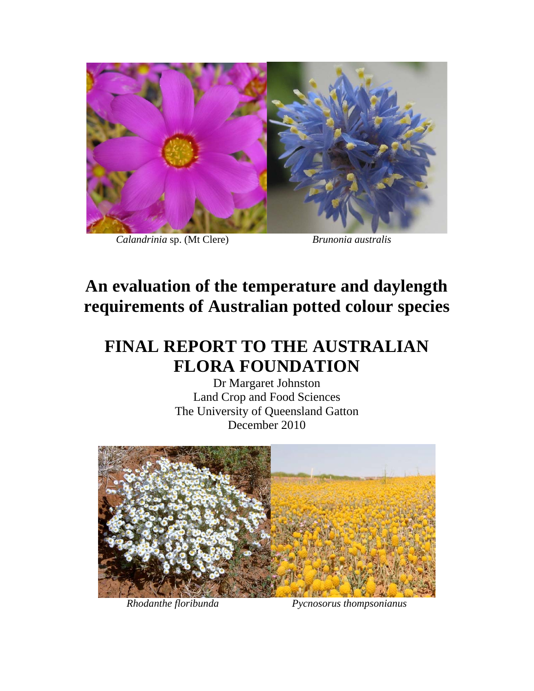

*Calandrinia* sp. (Mt Clere) *Brunonia australis*

# **An evaluation of the temperature and daylength requirements of Australian potted colour species**

# **FINAL REPORT TO THE AUSTRALIAN FLORA FOUNDATION**

Dr Margaret Johnston Land Crop and Food Sciences The University of Queensland Gatton December 2010



*Rhodanthe floribunda Pycnosorus thompsonianus*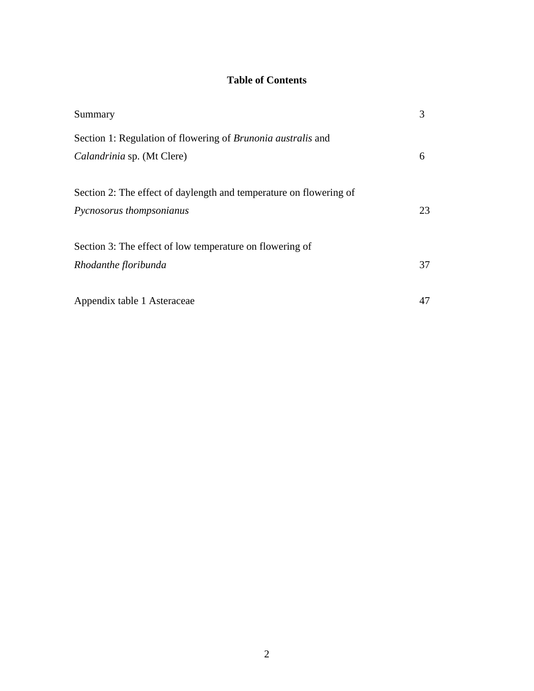### **Table of Contents**

| Summary                                                             | 3  |
|---------------------------------------------------------------------|----|
| Section 1: Regulation of flowering of <i>Brunonia australis</i> and |    |
| Calandrinia sp. (Mt Clere)                                          | 6  |
| Section 2: The effect of daylength and temperature on flowering of  |    |
| Pycnosorus thompsonianus                                            | 23 |
|                                                                     |    |
| Section 3: The effect of low temperature on flowering of            |    |
| Rhodanthe floribunda                                                | 37 |
|                                                                     |    |
| Appendix table 1 Asteraceae                                         |    |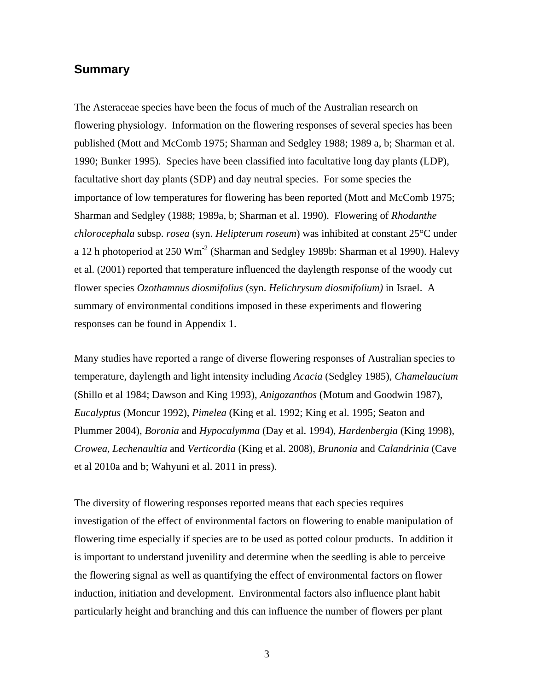### **Summary**

The Asteraceae species have been the focus of much of the Australian research on flowering physiology. Information on the flowering responses of several species has been published (Mott and McComb 1975; Sharman and Sedgley 1988; 1989 a, b; Sharman et al. 1990; Bunker 1995). Species have been classified into facultative long day plants (LDP), facultative short day plants (SDP) and day neutral species. For some species the importance of low temperatures for flowering has been reported (Mott and McComb 1975; Sharman and Sedgley (1988; 1989a, b; Sharman et al. 1990). Flowering of *Rhodanthe chlorocephala* subsp. *rosea* (syn. *Helipterum roseum*) was inhibited at constant 25°C under a 12 h photoperiod at 250 Wm<sup>-2</sup> (Sharman and Sedgley 1989b: Sharman et al 1990). Halevy et al. (2001) reported that temperature influenced the daylength response of the woody cut flower species *Ozothamnus diosmifolius* (syn. *Helichrysum diosmifolium)* in Israel. A summary of environmental conditions imposed in these experiments and flowering responses can be found in Appendix 1.

Many studies have reported a range of diverse flowering responses of Australian species to temperature, daylength and light intensity including *Acacia* (Sedgley 1985), *Chamelaucium* (Shillo et al 1984; Dawson and King 1993), *Anigozanthos* (Motum and Goodwin 1987), *Eucalyptus* (Moncur 1992), *Pimelea* (King et al. 1992; King et al. 1995; Seaton and Plummer 2004), *Boronia* and *Hypocalymma* (Day et al. 1994), *Hardenbergia* (King 1998), *Crowea, Lechenaultia* and *Verticordia* (King et al. 2008), *Brunonia* and *Calandrinia* (Cave et al 2010a and b; Wahyuni et al. 2011 in press).

The diversity of flowering responses reported means that each species requires investigation of the effect of environmental factors on flowering to enable manipulation of flowering time especially if species are to be used as potted colour products. In addition it is important to understand juvenility and determine when the seedling is able to perceive the flowering signal as well as quantifying the effect of environmental factors on flower induction, initiation and development. Environmental factors also influence plant habit particularly height and branching and this can influence the number of flowers per plant

3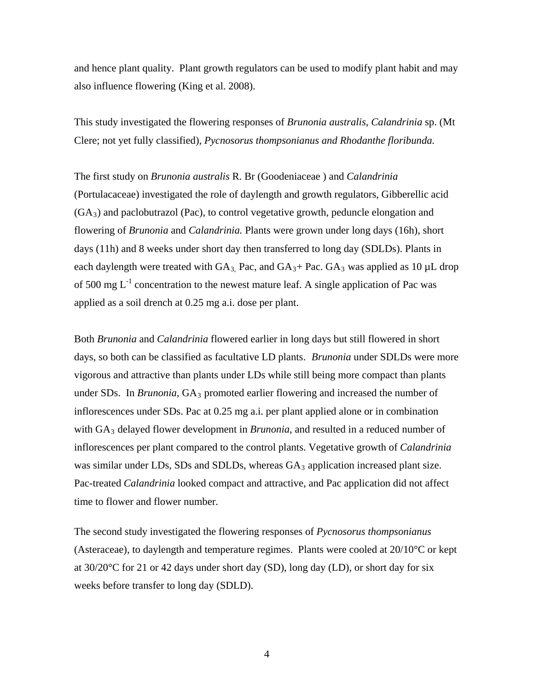and hence plant quality. Plant growth regulators can be used to modify plant habit and may also influence flowering (King et al. 2008).

This study investigated the flowering responses of *Brunonia australis*, *Calandrinia* sp. (Mt Clere; not yet fully classified), *Pycnosorus thompsonianus and Rhodanthe floribunda.* 

The first study on *Brunonia australis* R. Br (Goodeniaceae ) and *Calandrinia*  (Portulacaceae) investigated the role of daylength and growth regulators, Gibberellic acid  $(GA<sub>3</sub>)$  and paclobutrazol (Pac), to control vegetative growth, peduncle elongation and flowering of *Brunonia* and *Calandrinia.* Plants were grown under long days (16h), short days (11h) and 8 weeks under short day then transferred to long day (SDLDs). Plants in each daylength were treated with  $GA_3$ , Pac, and  $GA_3$ + Pac.  $GA_3$  was applied as 10 µL drop of 500 mg  $L^{-1}$  concentration to the newest mature leaf. A single application of Pac was applied as a soil drench at 0.25 mg a.i. dose per plant.

Both *Brunonia* and *Calandrinia* flowered earlier in long days but still flowered in short days, so both can be classified as facultative LD plants. *Brunonia* under SDLDs were more vigorous and attractive than plants under LDs while still being more compact than plants under SDs. In *Brunonia*, GA<sub>3</sub> promoted earlier flowering and increased the number of inflorescences under SDs. Pac at 0.25 mg a.i. per plant applied alone or in combination with GA<sub>3</sub> delayed flower development in *Brunonia*, and resulted in a reduced number of inflorescences per plant compared to the control plants. Vegetative growth of *Calandrinia*  was similar under LDs, SDs and SDLDs, whereas GA<sub>3</sub> application increased plant size. Pac-treated *Calandrinia* looked compact and attractive, and Pac application did not affect time to flower and flower number.

The second study investigated the flowering responses of *Pycnosorus thompsonianus*  (Asteraceae), to daylength and temperature regimes. Plants were cooled at 20/10°C or kept at 30/20°C for 21 or 42 days under short day (SD), long day (LD), or short day for six weeks before transfer to long day (SDLD).

4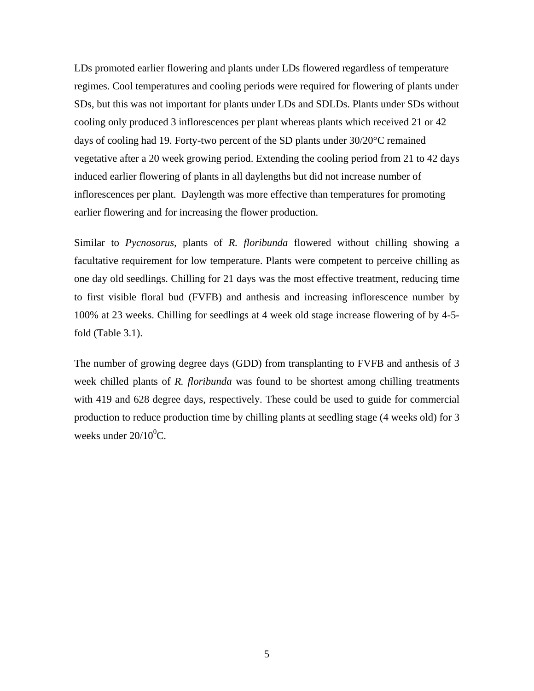LDs promoted earlier flowering and plants under LDs flowered regardless of temperature regimes. Cool temperatures and cooling periods were required for flowering of plants under SDs, but this was not important for plants under LDs and SDLDs. Plants under SDs without cooling only produced 3 inflorescences per plant whereas plants which received 21 or 42 days of cooling had 19. Forty-two percent of the SD plants under 30/20°C remained vegetative after a 20 week growing period. Extending the cooling period from 21 to 42 days induced earlier flowering of plants in all daylengths but did not increase number of inflorescences per plant. Daylength was more effective than temperatures for promoting earlier flowering and for increasing the flower production.

Similar to *Pycnosorus,* plants of *R. floribunda* flowered without chilling showing a facultative requirement for low temperature. Plants were competent to perceive chilling as one day old seedlings. Chilling for 21 days was the most effective treatment, reducing time to first visible floral bud (FVFB) and anthesis and increasing inflorescence number by 100% at 23 weeks. Chilling for seedlings at 4 week old stage increase flowering of by 4-5 fold (Table 3.1).

The number of growing degree days (GDD) from transplanting to FVFB and anthesis of 3 week chilled plants of *R. floribunda* was found to be shortest among chilling treatments with 419 and 628 degree days, respectively. These could be used to guide for commercial production to reduce production time by chilling plants at seedling stage (4 weeks old) for 3 weeks under  $20/10^0C$ .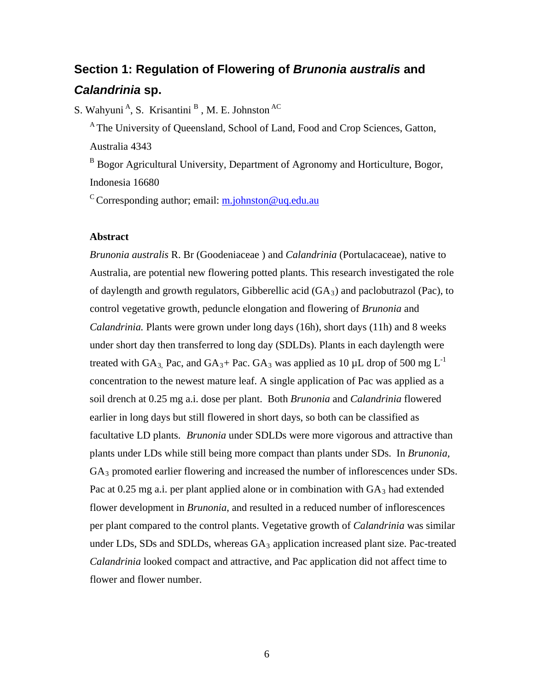# **Section 1: Regulation of Flowering of** *Brunonia australis* **and** *Calandrinia* **sp.**

S. Wahyuni<sup>A</sup>, S. Krisantini<sup>B</sup>, M. E. Johnston<sup>AC</sup>

<sup>A</sup> The University of Queensland, School of Land, Food and Crop Sciences, Gatton, Australia 4343

<sup>B</sup> Bogor Agricultural University, Department of Agronomy and Horticulture, Bogor, Indonesia 16680

 $\rm ^c$  Corresponding author; email: m.johnston@uq.edu.au

### **Abstract**

*Brunonia australis* R. Br (Goodeniaceae ) and *Calandrinia* (Portulacaceae), native to Australia, are potential new flowering potted plants. This research investigated the role of daylength and growth regulators, Gibberellic acid  $(GA_3)$  and paclobutrazol (Pac), to control vegetative growth, peduncle elongation and flowering of *Brunonia* and *Calandrinia.* Plants were grown under long days (16h), short days (11h) and 8 weeks under short day then transferred to long day (SDLDs). Plants in each daylength were treated with GA<sub>3</sub>, Pac, and GA<sub>3</sub>+ Pac. GA<sub>3</sub> was applied as 10  $\mu$ L drop of 500 mg L<sup>-1</sup> concentration to the newest mature leaf. A single application of Pac was applied as a soil drench at 0.25 mg a.i. dose per plant. Both *Brunonia* and *Calandrinia* flowered earlier in long days but still flowered in short days, so both can be classified as facultative LD plants. *Brunonia* under SDLDs were more vigorous and attractive than plants under LDs while still being more compact than plants under SDs. In *Brunonia,*  GA<sub>3</sub> promoted earlier flowering and increased the number of inflorescences under SDs. Pac at 0.25 mg a.i. per plant applied alone or in combination with  $GA_3$  had extended flower development in *Brunonia*, and resulted in a reduced number of inflorescences per plant compared to the control plants. Vegetative growth of *Calandrinia* was similar under LDs, SDs and SDLDs, whereas  $GA_3$  application increased plant size. Pac-treated *Calandrinia* looked compact and attractive, and Pac application did not affect time to flower and flower number.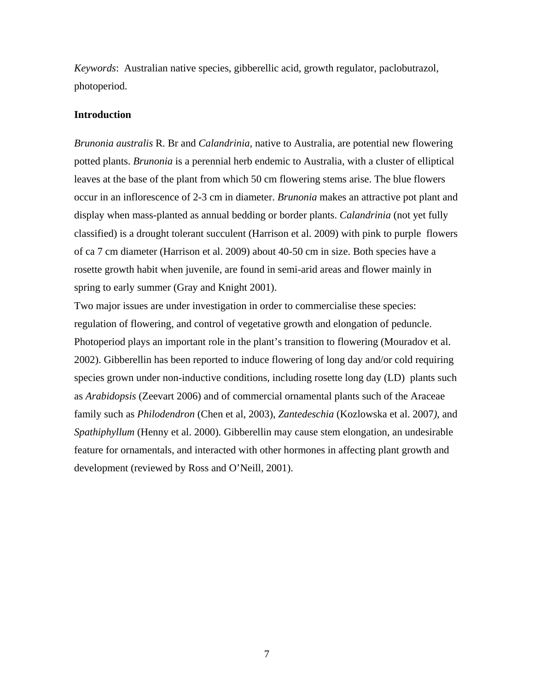*Keywords*: Australian native species, gibberellic acid, growth regulator, paclobutrazol, photoperiod.

### **Introduction**

*Brunonia australis* R. Br and *Calandrinia,* native to Australia, are potential new flowering potted plants. *Brunonia* is a perennial herb endemic to Australia, with a cluster of elliptical leaves at the base of the plant from which 50 cm flowering stems arise. The blue flowers occur in an inflorescence of 2-3 cm in diameter. *Brunonia* makes an attractive pot plant and display when mass-planted as annual bedding or border plants. *Calandrinia* (not yet fully classified) is a drought tolerant succulent (Harrison et al. 2009) with pink to purple flowers of ca 7 cm diameter (Harrison et al. 2009) about 40-50 cm in size. Both species have a rosette growth habit when juvenile, are found in semi-arid areas and flower mainly in spring to early summer (Gray and Knight 2001).

Two major issues are under investigation in order to commercialise these species: regulation of flowering, and control of vegetative growth and elongation of peduncle. Photoperiod plays an important role in the plant's transition to flowering (Mouradov et al. 2002). Gibberellin has been reported to induce flowering of long day and/or cold requiring species grown under non-inductive conditions, including rosette long day (LD) plants such as *Arabidopsis* (Zeevart 2006) and of commercial ornamental plants such of the Araceae family such as *Philodendron* (Chen et al, 2003), *Zantedeschia* (Kozlowska et al. 2007*)*, and *Spathiphyllum* (Henny et al. 2000)*.* Gibberellin may cause stem elongation, an undesirable feature for ornamentals, and interacted with other hormones in affecting plant growth and development (reviewed by Ross and O'Neill, 2001).

7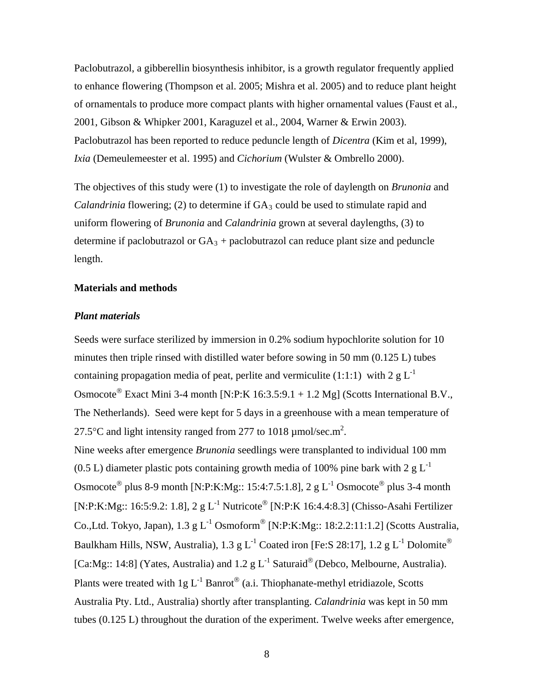Paclobutrazol, a gibberellin biosynthesis inhibitor, is a growth regulator frequently applied to enhance flowering (Thompson et al. 2005; Mishra et al. 2005) and to reduce plant height of ornamentals to produce more compact plants with higher ornamental values (Faust et al., 2001, Gibson & Whipker 2001, Karaguzel et al., 2004, Warner & Erwin 2003). Paclobutrazol has been reported to reduce peduncle length of *Dicentra* (Kim et al, 1999), *Ixia* (Demeulemeester et al. 1995) and *Cichorium* (Wulster & Ombrello 2000).

The objectives of this study were (1) to investigate the role of daylength on *Brunonia* and *Calandrinia* flowering; (2) to determine if GA<sub>3</sub> could be used to stimulate rapid and uniform flowering of *Brunonia* and *Calandrinia* grown at several daylengths, (3) to determine if paclobutrazol or  $GA_3$  + paclobutrazol can reduce plant size and peduncle length.

### **Materials and methods**

### *Plant materials*

Seeds were surface sterilized by immersion in 0.2% sodium hypochlorite solution for 10 minutes then triple rinsed with distilled water before sowing in 50 mm (0.125 L) tubes containing propagation media of peat, perlite and vermiculite (1:1:1) with  $2 \text{ g L}^{-1}$ Osmocote<sup>®</sup> Exact Mini 3-4 month [N:P:K 16:3.5:9.1 + 1.2 Mg] (Scotts International B.V., The Netherlands). Seed were kept for 5 days in a greenhouse with a mean temperature of 27.5 $\degree$ C and light intensity ranged from 277 to 1018 µmol/sec.m<sup>2</sup>. Nine weeks after emergence *Brunonia* seedlings were transplanted to individual 100 mm (0.5 L) diameter plastic pots containing growth media of 100% pine bark with 2 g  $L^{-1}$ Osmocote<sup>®</sup> plus 8-9 month [N:P:K:Mg:: 15:4:7.5:1.8], 2 g L<sup>-1</sup> Osmocote<sup>®</sup> plus 3-4 month  $[N:P:K:Mg:: 16:5:9.2: 1.8], 2 g L^{-1}$  Nutricote<sup>®</sup> [N:P:K 16:4.4:8.3] (Chisso-Asahi Fertilizer Co.,Ltd. Tokyo, Japan),  $1.3 \text{ g L}^{-1}$  Osmoform<sup>®</sup> [N:P:K:Mg:: 18:2.2:11:1.2] (Scotts Australia, Baulkham Hills, NSW, Australia), 1.3 g  $L^{-1}$  Coated iron [Fe:S 28:17], 1.2 g  $L^{-1}$  Dolomite<sup>®</sup> [Ca:Mg:: 14:8] (Yates, Australia) and 1.2 g  $L^{-1}$  Saturaid<sup>®</sup> (Debco, Melbourne, Australia). Plants were treated with  $1g L^{-1}$  Banrot<sup>®</sup> (a.i. Thiophanate-methyl etridiazole, Scotts Australia Pty. Ltd., Australia) shortly after transplanting. *Calandrinia* was kept in 50 mm tubes (0.125 L) throughout the duration of the experiment. Twelve weeks after emergence,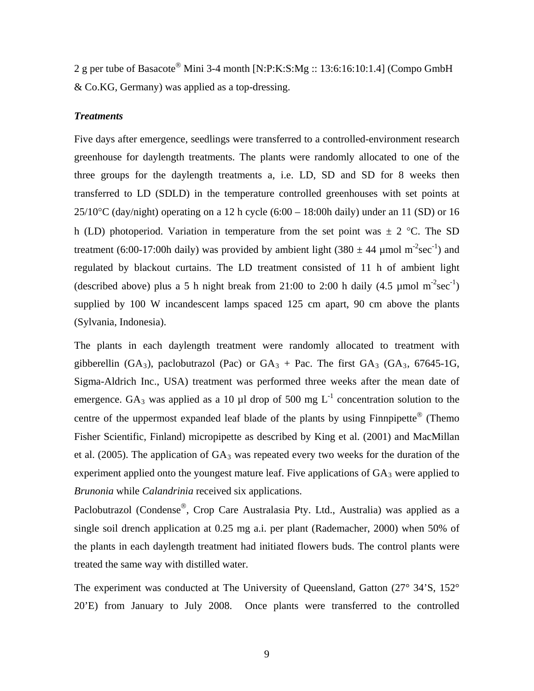2 g per tube of Basacote<sup>®</sup> Mini 3-4 month [N:P:K:S:Mg :: 13:6:16:10:1.4] (Compo GmbH) & Co.KG, Germany) was applied as a top-dressing.

### *Treatments*

Five days after emergence, seedlings were transferred to a controlled-environment research greenhouse for daylength treatments. The plants were randomly allocated to one of the three groups for the daylength treatments a, i.e. LD, SD and SD for 8 weeks then transferred to LD (SDLD) in the temperature controlled greenhouses with set points at  $25/10^{\circ}$ C (day/night) operating on a 12 h cycle (6:00 – 18:00h daily) under an 11 (SD) or 16 h (LD) photoperiod. Variation in temperature from the set point was  $\pm 2$  °C. The SD treatment (6:00-17:00h daily) was provided by ambient light (380  $\pm$  44 µmol m<sup>-2</sup>sec<sup>-1</sup>) and regulated by blackout curtains. The LD treatment consisted of 11 h of ambient light (described above) plus a 5 h night break from 21:00 to 2:00 h daily  $(4.5 \text{ µmol m}^2 \text{sec}^1)$ supplied by 100 W incandescent lamps spaced 125 cm apart, 90 cm above the plants (Sylvania, Indonesia).

The plants in each daylength treatment were randomly allocated to treatment with gibberellin (GA<sub>3</sub>), paclobutrazol (Pac) or  $GA_3$  + Pac. The first  $GA_3$  (GA<sub>3</sub>, 67645-1G, Sigma-Aldrich Inc., USA) treatment was performed three weeks after the mean date of emergence. GA<sub>3</sub> was applied as a 10  $\mu$ l drop of 500 mg L<sup>-1</sup> concentration solution to the centre of the uppermost expanded leaf blade of the plants by using  $F$ innpipette<sup>®</sup> (Themo Fisher Scientific, Finland) micropipette as described by King et al. (2001) and MacMillan et al. (2005). The application of  $GA_3$  was repeated every two weeks for the duration of the experiment applied onto the youngest mature leaf. Five applications of  $GA_3$  were applied to *Brunonia* while *Calandrinia* received six applications.

Paclobutrazol (Condense®, Crop Care Australasia Pty. Ltd., Australia) was applied as a single soil drench application at 0.25 mg a.i. per plant (Rademacher, 2000) when 50% of the plants in each daylength treatment had initiated flowers buds. The control plants were treated the same way with distilled water.

The experiment was conducted at The University of Queensland, Gatton (27° 34'S, 152° 20'E) from January to July 2008. Once plants were transferred to the controlled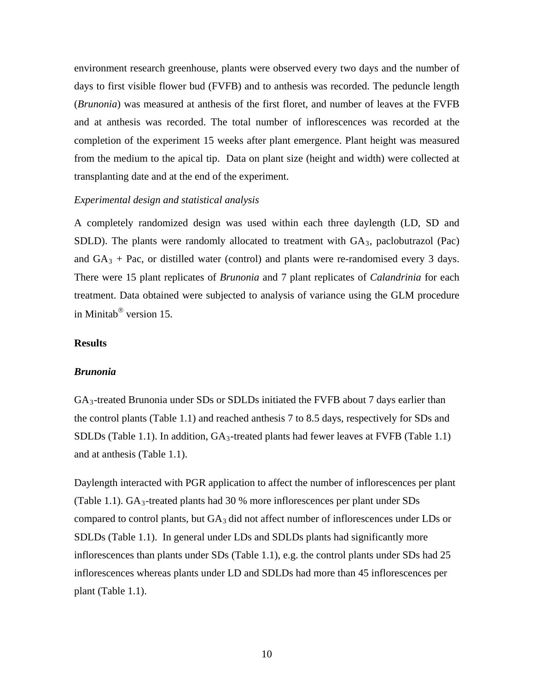environment research greenhouse, plants were observed every two days and the number of days to first visible flower bud (FVFB) and to anthesis was recorded. The peduncle length (*Brunonia*) was measured at anthesis of the first floret, and number of leaves at the FVFB and at anthesis was recorded. The total number of inflorescences was recorded at the completion of the experiment 15 weeks after plant emergence. Plant height was measured from the medium to the apical tip. Data on plant size (height and width) were collected at transplanting date and at the end of the experiment.

### *Experimental design and statistical analysis*

A completely randomized design was used within each three daylength (LD, SD and SDLD). The plants were randomly allocated to treatment with  $GA_3$ , paclobutrazol (Pac) and  $GA_3$  + Pac, or distilled water (control) and plants were re-randomised every 3 days. There were 15 plant replicates of *Brunonia* and 7 plant replicates of *Calandrinia* for each treatment. Data obtained were subjected to analysis of variance using the GLM procedure in Minitab $^{\circ}$  version 15.

### **Results**

### *Brunonia*

GA3-treated Brunonia under SDs or SDLDs initiated the FVFB about 7 days earlier than the control plants (Table 1.1) and reached anthesis 7 to 8.5 days, respectively for SDs and SDLDs (Table 1.1). In addition,  $GA_3$ -treated plants had fewer leaves at FVFB (Table 1.1) and at anthesis (Table 1.1).

Daylength interacted with PGR application to affect the number of inflorescences per plant (Table 1.1).  $GA_3$ -treated plants had 30 % more inflorescences per plant under SDs compared to control plants, but  $GA_3$  did not affect number of inflorescences under LDs or SDLDs (Table 1.1). In general under LDs and SDLDs plants had significantly more inflorescences than plants under SDs (Table 1.1), e.g. the control plants under SDs had 25 inflorescences whereas plants under LD and SDLDs had more than 45 inflorescences per plant (Table 1.1).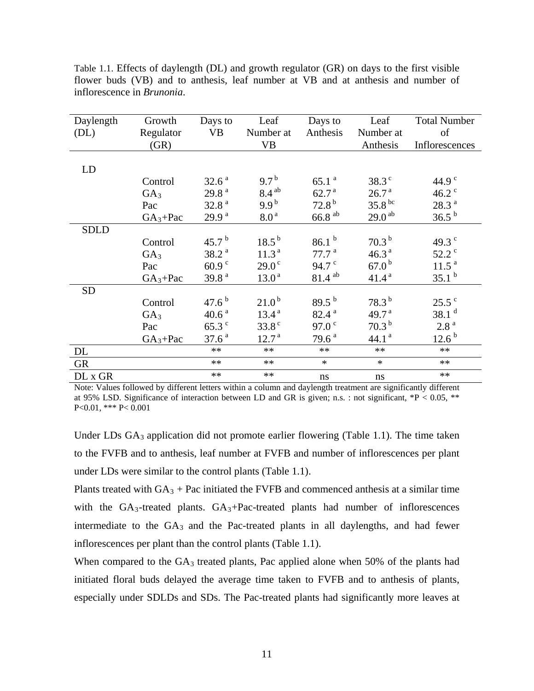| Daylength   | Growth          | Days to           | Leaf                | Days to              | Leaf               | <b>Total Number</b> |
|-------------|-----------------|-------------------|---------------------|----------------------|--------------------|---------------------|
|             |                 | <b>VB</b>         |                     | Anthesis             | Number at          | of                  |
| (DL)        | Regulator       |                   | Number at           |                      |                    |                     |
|             | (GR)            |                   | <b>VB</b>           |                      | Anthesis           | Inflorescences      |
|             |                 |                   |                     |                      |                    |                     |
| LD          |                 |                   |                     |                      |                    |                     |
|             | Control         | 32.6 <sup>a</sup> | $9.7^{\mathrm{b}}$  | 65.1 <sup>a</sup>    | $38.3^{\circ}$     | 44.9 $^{\circ}$     |
|             | GA <sub>3</sub> | 29.8 <sup>a</sup> | $8.4$ <sup>ab</sup> | 62.7 <sup>a</sup>    | 26.7 <sup>a</sup>  | 46.2 $\degree$      |
|             | Pac             | 32.8 <sup>a</sup> | 9.9 <sup>b</sup>    | $72.8^{\mathrm{b}}$  | 35.8 <sup>bc</sup> | $28.3$ $^{\rm a}$   |
|             | $GA_3+Pac$      | 29.9 <sup>a</sup> | 8.0 <sup>a</sup>    | $66.8$ <sup>ab</sup> | $29.0^{ab}$        | $36.5^{b}$          |
| <b>SDLD</b> |                 |                   |                     |                      |                    |                     |
|             | Control         | 45.7 $^{\rm b}$   | $18.5^{b}$          | 86.1 <sup>b</sup>    | 70.3 <sup>b</sup>  | 49.3 $^{\circ}$     |
|             | GA <sub>3</sub> | 38.2 <sup>a</sup> | 11.3 <sup>a</sup>   | 77.7 <sup>a</sup>    | 46.3 <sup>a</sup>  | $52.2$ $\degree$    |
|             | Pac             | 60.9 <sup>c</sup> | $29.0^\circ$        | 94.7 $\degree$       | $67.0^{b}$         | 11.5 <sup>a</sup>   |
|             | $GA_3+Pac$      | 39.8 $a$          | 13.0 <sup>a</sup>   | $81.4$ <sup>ab</sup> | 41.4 <sup>a</sup>  | 35.1 <sup>b</sup>   |
| <b>SD</b>   |                 |                   |                     |                      |                    |                     |
|             | Control         | $47.6^{b}$        | $21.0^{b}$          | 89.5 $^{b}$          | $78.3^{b}$         | $25.5$ $\degree$    |
|             | GA <sub>3</sub> | 40.6 <sup>a</sup> | 13.4 <sup>a</sup>   | $82.4^{a}$           | 49.7 $a$           | 38.1 $d$            |
|             | Pac             | $65.3$ $\degree$  | 33.8 <sup>c</sup>   | 97.0 $\degree$       | 70.3 <sup>b</sup>  | 2.8 <sup>a</sup>    |
|             | $GA_3+Pac$      | 37.6 <sup>a</sup> | 12.7 <sup>a</sup>   | 79.6 <sup>a</sup>    | 44.1 $a$           | 12.6 <sup>b</sup>   |
| DL          |                 | $**$              | $**$                | $**$                 | $**$               | $**$                |
| <b>GR</b>   |                 | $**$              | $**$                | $\ast$               | $\ast$             | $**$                |
| DL x GR     |                 | $**$              | $**$                | ns                   | ns                 | $**$                |

Table 1.1. Effects of daylength (DL) and growth regulator (GR) on days to the first visible flower buds (VB) and to anthesis, leaf number at VB and at anthesis and number of inflorescence in *Brunonia*.

Note: Values followed by different letters within a column and daylength treatment are significantly different at 95% LSD. Significance of interaction between LD and GR is given; n.s. : not significant,  $*P < 0.05$ ,  $**$ P<0.01, \*\*\* P< 0.001

Under LDs  $GA_3$  application did not promote earlier flowering (Table 1.1). The time taken to the FVFB and to anthesis, leaf number at FVFB and number of inflorescences per plant under LDs were similar to the control plants (Table 1.1).

Plants treated with  $GA_3 + Pac$  initiated the FVFB and commenced anthesis at a similar time with the  $GA_3$ -treated plants.  $GA_3+Pac$ -treated plants had number of inflorescences intermediate to the  $GA_3$  and the Pac-treated plants in all daylengths, and had fewer inflorescences per plant than the control plants (Table 1.1).

When compared to the  $GA_3$  treated plants, Pac applied alone when 50% of the plants had initiated floral buds delayed the average time taken to FVFB and to anthesis of plants, especially under SDLDs and SDs. The Pac-treated plants had significantly more leaves at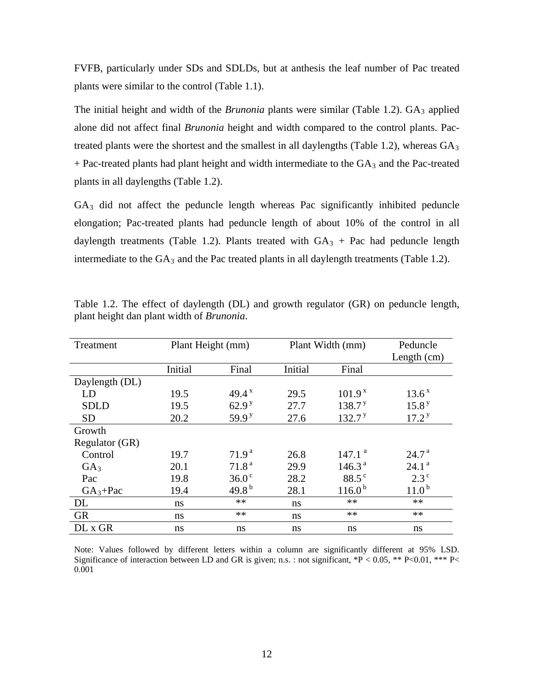FVFB, particularly under SDs and SDLDs, but at anthesis the leaf number of Pac treated plants were similar to the control (Table 1.1).

The initial height and width of the *Brunonia* plants were similar (Table 1.2). GA<sub>3</sub> applied alone did not affect final *Brunonia* height and width compared to the control plants. Pactreated plants were the shortest and the smallest in all daylengths (Table 1.2), whereas  $GA_3$  $+$  Pac-treated plants had plant height and width intermediate to the  $GA_3$  and the Pac-treated plants in all daylengths (Table 1.2).

GA3 did not affect the peduncle length whereas Pac significantly inhibited peduncle elongation; Pac-treated plants had peduncle length of about 10% of the control in all daylength treatments (Table 1.2). Plants treated with  $GA_3 + Pac$  had peduncle length intermediate to the  $GA_3$  and the Pac treated plants in all daylength treatments (Table 1.2).

| Treatment       | Plant Height (mm) |                   |         | Plant Width (mm)   | Peduncle          |
|-----------------|-------------------|-------------------|---------|--------------------|-------------------|
|                 |                   |                   |         |                    | Length $(cm)$     |
|                 | Initial           | Final             | Initial | Final              |                   |
| Daylength (DL)  |                   |                   |         |                    |                   |
| LD              | 19.5              | $49.4^x$          | 29.5    | 101.9 <sup>x</sup> | 13.6 <sup>x</sup> |
| <b>SDLD</b>     | 19.5              | 62.9 <sup>y</sup> | 27.7    | 138.7 <sup>y</sup> | 15.8 <sup>y</sup> |
| <b>SD</b>       | 20.2              | 59.9 <sup>y</sup> | 27.6    | 132.7 <sup>y</sup> | 17.2 <sup>y</sup> |
| Growth          |                   |                   |         |                    |                   |
| Regulator (GR)  |                   |                   |         |                    |                   |
| Control         | 19.7              | 71.9 <sup>a</sup> | 26.8    | 147.1 <sup>a</sup> | 24.7 <sup>a</sup> |
| GA <sub>3</sub> | 20.1              | 71.8 <sup>a</sup> | 29.9    | 146.3 <sup>a</sup> | 24.1 <sup>a</sup> |
| Pac             | 19.8              | $36.0^\circ$      | 28.2    | $88.5^{\circ}$     | $2.3^{\circ}$     |
| $GA_3+Pac$      | 19.4              | 49.8 $^{\rm b}$   | 28.1    | 116.0 <sup>b</sup> | 11.0 <sup>b</sup> |
| DL              | <sub>ns</sub>     | $**$              | ns      | $**$               | $**$              |
| <b>GR</b>       | <sub>ns</sub>     | $**$              | ns      | $**$               | $**$              |
| DL x GR         | ns                | ns                | ns      | ns                 | ns                |

Table 1.2. The effect of daylength (DL) and growth regulator (GR) on peduncle length, plant height dan plant width of *Brunonia*.

Note: Values followed by different letters within a column are significantly different at 95% LSD. Significance of interaction between LD and GR is given; n.s. : not significant, \*P < 0.05, \*\* P<0.01, \*\*\* P< 0.001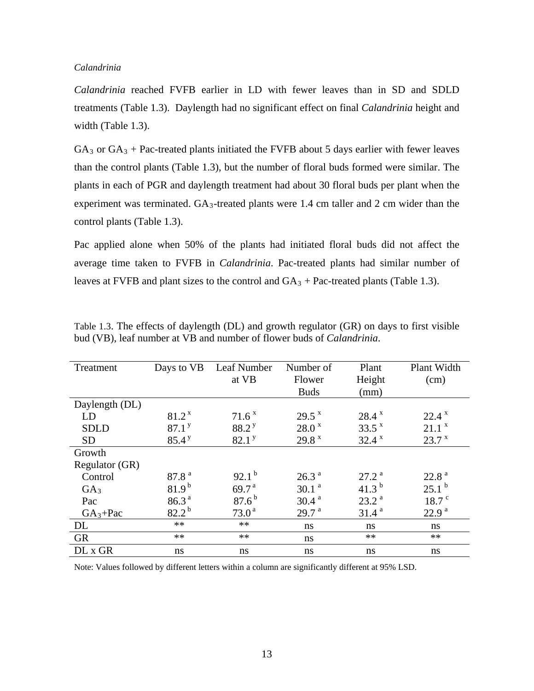### *Calandrinia*

*Calandrinia* reached FVFB earlier in LD with fewer leaves than in SD and SDLD treatments (Table 1.3). Daylength had no significant effect on final *Calandrinia* height and width (Table 1.3).

 $GA<sub>3</sub>$  or  $GA<sub>3</sub> + Pac-treated$  plants initiated the FVFB about 5 days earlier with fewer leaves than the control plants (Table 1.3), but the number of floral buds formed were similar. The plants in each of PGR and daylength treatment had about 30 floral buds per plant when the experiment was terminated.  $GA_3$ -treated plants were 1.4 cm taller and 2 cm wider than the control plants (Table 1.3).

Pac applied alone when 50% of the plants had initiated floral buds did not affect the average time taken to FVFB in *Calandrinia*. Pac-treated plants had similar number of leaves at FVFB and plant sizes to the control and  $GA_3 + Pac$ -treated plants (Table 1.3).

| Treatment       |                   | Days to VB Leaf Number | Number of         | Plant             | Plant Width       |
|-----------------|-------------------|------------------------|-------------------|-------------------|-------------------|
|                 |                   | at VB                  | Flower            | Height            | (cm)              |
|                 |                   |                        | <b>Buds</b>       | (mm)              |                   |
| Daylength (DL)  |                   |                        |                   |                   |                   |
| LD              | 81.2 <sup>x</sup> | 71.6 <sup>x</sup>      | $29.5^{\text{X}}$ | 28.4 x            | 22.4 x            |
| <b>SDLD</b>     | 87.1 <sup>y</sup> | 88.2 <sup>y</sup>      | 28.0 <sup>x</sup> | 33.5 <sup>x</sup> | $21.1^{\text{x}}$ |
| <b>SD</b>       | 85.4 <sup>y</sup> | 82.1 <sup>y</sup>      | 29.8 <sup>x</sup> | 32.4 x            | 23.7 x            |
| Growth          |                   |                        |                   |                   |                   |
| Regulator (GR)  |                   |                        |                   |                   |                   |
| Control         | 87.8 <sup>a</sup> | $92.1^{b}$             | 26.3 <sup>a</sup> | 27.2 <sup>a</sup> | 22.8 <sup>a</sup> |
| GA <sub>3</sub> | $81.9^{b}$        | 69.7 $a$               | 30.1 <sup>a</sup> | 41.3 $^{b}$       | 25.1 <sup>b</sup> |
| Pac             | 86.3 <sup>a</sup> | $87.6^{b}$             | 30.4 <sup>a</sup> | 23.2 <sup>a</sup> | 18.7 <sup>c</sup> |
| $GA_3+Pac$      | $82.2^{b}$        | 73.0 <sup>a</sup>      | 29.7 <sup>a</sup> | 31.4 <sup>a</sup> | 22.9 <sup>a</sup> |
| DL              | $**$              | $**$                   | ns                | ns                | ns                |
| <b>GR</b>       | $***$             | $**$                   | ns                | **                | $***$             |
| DL x GR         | ns                | ns                     | ns                | ns                | ns                |

Table 1.3. The effects of daylength (DL) and growth regulator (GR) on days to first visible bud (VB), leaf number at VB and number of flower buds of *Calandrinia*.

Note: Values followed by different letters within a column are significantly different at 95% LSD.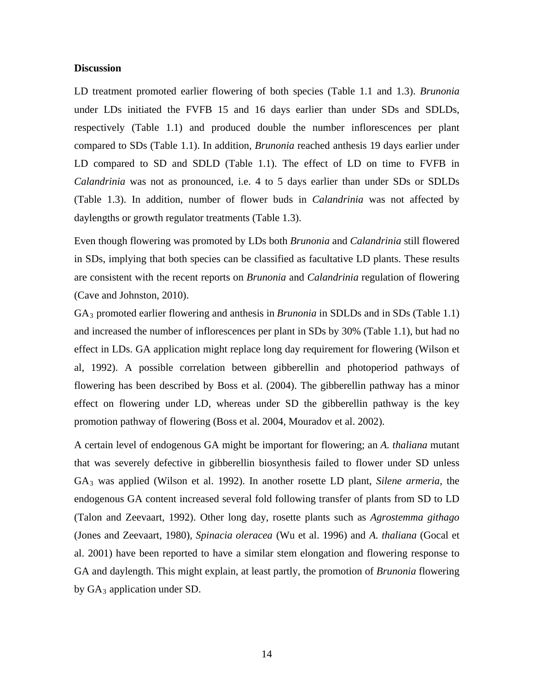#### **Discussion**

LD treatment promoted earlier flowering of both species (Table 1.1 and 1.3). *Brunonia* under LDs initiated the FVFB 15 and 16 days earlier than under SDs and SDLDs, respectively (Table 1.1) and produced double the number inflorescences per plant compared to SDs (Table 1.1). In addition, *Brunonia* reached anthesis 19 days earlier under LD compared to SD and SDLD (Table 1.1). The effect of LD on time to FVFB in *Calandrinia* was not as pronounced, i.e. 4 to 5 days earlier than under SDs or SDLDs (Table 1.3). In addition, number of flower buds in *Calandrinia* was not affected by daylengths or growth regulator treatments (Table 1.3).

Even though flowering was promoted by LDs both *Brunonia* and *Calandrinia* still flowered in SDs, implying that both species can be classified as facultative LD plants. These results are consistent with the recent reports on *Brunonia* and *Calandrinia* regulation of flowering (Cave and Johnston, 2010).

GA3 promoted earlier flowering and anthesis in *Brunonia* in SDLDs and in SDs (Table 1.1) and increased the number of inflorescences per plant in SDs by 30% (Table 1.1), but had no effect in LDs. GA application might replace long day requirement for flowering (Wilson et al, 1992). A possible correlation between gibberellin and photoperiod pathways of flowering has been described by Boss et al. (2004). The gibberellin pathway has a minor effect on flowering under LD, whereas under SD the gibberellin pathway is the key promotion pathway of flowering (Boss et al. 2004, Mouradov et al. 2002).

A certain level of endogenous GA might be important for flowering; an *A. thaliana* mutant that was severely defective in gibberellin biosynthesis failed to flower under SD unless GA3 was applied (Wilson et al. 1992). In another rosette LD plant, *Silene armeria,* the endogenous GA content increased several fold following transfer of plants from SD to LD (Talon and Zeevaart, 1992). Other long day, rosette plants such as *Agrostemma githago*  (Jones and Zeevaart, 1980)*, Spinacia oleracea* (Wu et al. 1996) and *A. thaliana* (Gocal et al. 2001) have been reported to have a similar stem elongation and flowering response to GA and daylength. This might explain, at least partly, the promotion of *Brunonia* flowering by  $GA_3$  application under SD.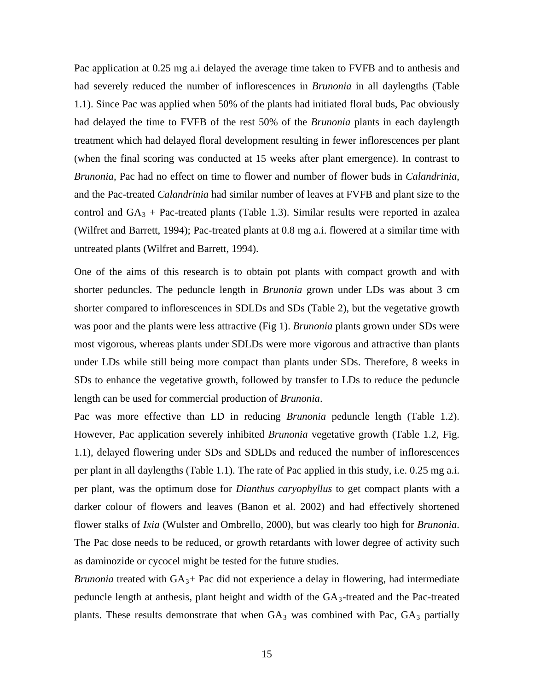Pac application at 0.25 mg a.i delayed the average time taken to FVFB and to anthesis and had severely reduced the number of inflorescences in *Brunonia* in all daylengths (Table 1.1). Since Pac was applied when 50% of the plants had initiated floral buds, Pac obviously had delayed the time to FVFB of the rest 50% of the *Brunonia* plants in each daylength treatment which had delayed floral development resulting in fewer inflorescences per plant (when the final scoring was conducted at 15 weeks after plant emergence). In contrast to *Brunonia*, Pac had no effect on time to flower and number of flower buds in *Calandrinia*, and the Pac-treated *Calandrinia* had similar number of leaves at FVFB and plant size to the control and  $GA_3$  + Pac-treated plants (Table 1.3). Similar results were reported in azalea (Wilfret and Barrett, 1994); Pac-treated plants at 0.8 mg a.i. flowered at a similar time with untreated plants (Wilfret and Barrett, 1994).

One of the aims of this research is to obtain pot plants with compact growth and with shorter peduncles. The peduncle length in *Brunonia* grown under LDs was about 3 cm shorter compared to inflorescences in SDLDs and SDs (Table 2), but the vegetative growth was poor and the plants were less attractive (Fig 1). *Brunonia* plants grown under SDs were most vigorous, whereas plants under SDLDs were more vigorous and attractive than plants under LDs while still being more compact than plants under SDs. Therefore, 8 weeks in SDs to enhance the vegetative growth, followed by transfer to LDs to reduce the peduncle length can be used for commercial production of *Brunonia*.

Pac was more effective than LD in reducing *Brunonia* peduncle length (Table 1.2). However, Pac application severely inhibited *Brunonia* vegetative growth (Table 1.2, Fig. 1.1), delayed flowering under SDs and SDLDs and reduced the number of inflorescences per plant in all daylengths (Table 1.1). The rate of Pac applied in this study, i.e. 0.25 mg a.i. per plant, was the optimum dose for *Dianthus caryophyllus* to get compact plants with a darker colour of flowers and leaves (Banon et al. 2002) and had effectively shortened flower stalks of *Ixia* (Wulster and Ombrello, 2000), but was clearly too high for *Brunonia*. The Pac dose needs to be reduced, or growth retardants with lower degree of activity such as daminozide or cycocel might be tested for the future studies.

*Brunonia* treated with GA<sub>3</sub>+ Pac did not experience a delay in flowering, had intermediate peduncle length at anthesis, plant height and width of the GA3-treated and the Pac-treated plants. These results demonstrate that when  $GA_3$  was combined with Pac,  $GA_3$  partially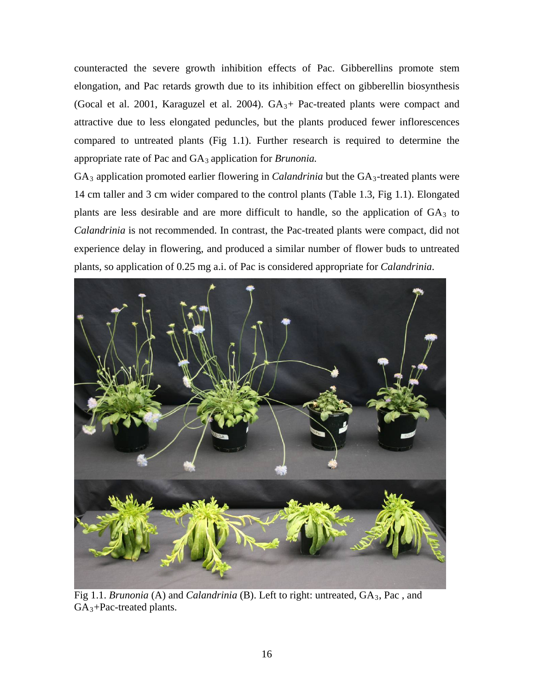counteracted the severe growth inhibition effects of Pac. Gibberellins promote stem elongation, and Pac retards growth due to its inhibition effect on gibberellin biosynthesis (Gocal et al. 2001, Karaguzel et al. 2004).  $GA_3+$  Pac-treated plants were compact and attractive due to less elongated peduncles, but the plants produced fewer inflorescences compared to untreated plants (Fig 1.1). Further research is required to determine the appropriate rate of Pac and GA3 application for *Brunonia.*

GA<sub>3</sub> application promoted earlier flowering in *Calandrinia* but the GA<sub>3</sub>-treated plants were 14 cm taller and 3 cm wider compared to the control plants (Table 1.3, Fig 1.1). Elongated plants are less desirable and are more difficult to handle, so the application of  $GA<sub>3</sub>$  to *Calandrinia* is not recommended. In contrast, the Pac-treated plants were compact, did not experience delay in flowering, and produced a similar number of flower buds to untreated plants, so application of 0.25 mg a.i. of Pac is considered appropriate for *Calandrinia*.



Fig 1.1. *Brunonia* (A) and *Calandrinia* (B). Left to right: untreated, GA<sub>3</sub>, Pac, and  $GA_3+Pac-treated$  plants.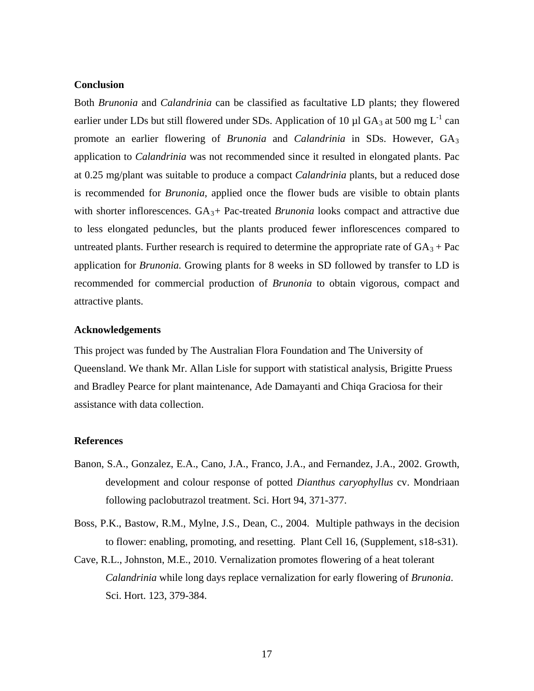#### **Conclusion**

Both *Brunonia* and *Calandrinia* can be classified as facultative LD plants; they flowered earlier under LDs but still flowered under SDs. Application of 10  $\mu$ l GA<sub>3</sub> at 500 mg L<sup>-1</sup> can promote an earlier flowering of *Brunonia* and *Calandrinia* in SDs. However, GA3 application to *Calandrinia* was not recommended since it resulted in elongated plants. Pac at 0.25 mg/plant was suitable to produce a compact *Calandrinia* plants, but a reduced dose is recommended for *Brunonia*, applied once the flower buds are visible to obtain plants with shorter inflorescences. GA<sub>3</sub>+ Pac-treated *Brunonia* looks compact and attractive due to less elongated peduncles, but the plants produced fewer inflorescences compared to untreated plants. Further research is required to determine the appropriate rate of  $GA_3 + Pac$ application for *Brunonia.* Growing plants for 8 weeks in SD followed by transfer to LD is recommended for commercial production of *Brunonia* to obtain vigorous, compact and attractive plants.

### **Acknowledgements**

This project was funded by The Australian Flora Foundation and The University of Queensland. We thank Mr. Allan Lisle for support with statistical analysis, Brigitte Pruess and Bradley Pearce for plant maintenance, Ade Damayanti and Chiqa Graciosa for their assistance with data collection.

### **References**

- Banon, S.A., Gonzalez, E.A., Cano, J.A., Franco, J.A., and Fernandez, J.A., 2002. Growth, development and colour response of potted *Dianthus caryophyllus* cv. Mondriaan following paclobutrazol treatment. Sci. Hort 94, 371-377.
- Boss, P.K., Bastow, R.M., Mylne, J.S., Dean, C., 2004. Multiple pathways in the decision to flower: enabling, promoting, and resetting. Plant Cell 16, (Supplement, s18-s31).
- Cave, R.L., Johnston, M.E., 2010. Vernalization promotes flowering of a heat tolerant *Calandrinia* while long days replace vernalization for early flowering of *Brunonia*. Sci. Hort. 123, 379-384.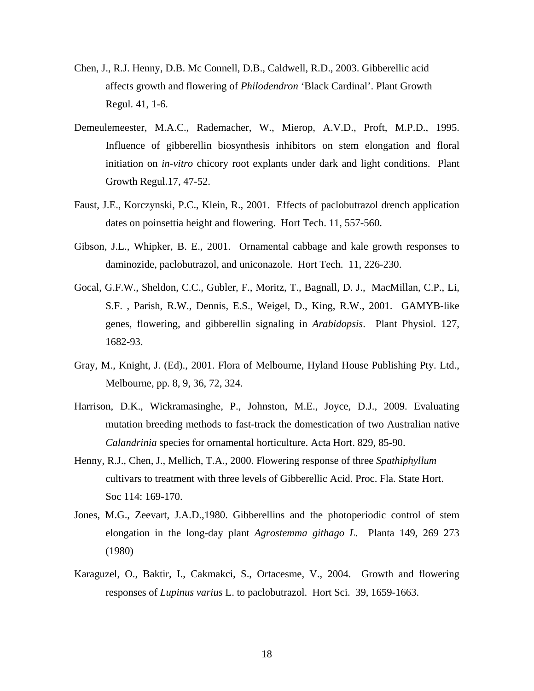- Chen, J., R.J. Henny, D.B. Mc Connell, D.B., Caldwell, R.D., 2003. Gibberellic acid affects growth and flowering of *Philodendron* 'Black Cardinal'. Plant Growth Regul. 41, 1-6.
- Demeulemeester, M.A.C., Rademacher, W., Mierop, A.V.D., Proft, M.P.D., 1995. Influence of gibberellin biosynthesis inhibitors on stem elongation and floral initiation on *in-vitro* chicory root explants under dark and light conditions. Plant Growth Regul.17, 47-52.
- Faust, J.E., Korczynski, P.C., Klein, R., 2001. Effects of paclobutrazol drench application dates on poinsettia height and flowering. Hort Tech. 11, 557-560.
- Gibson, J.L., Whipker, B. E., 2001. Ornamental cabbage and kale growth responses to daminozide, paclobutrazol, and uniconazole. Hort Tech. 11, 226-230.
- Gocal, G.F.W., Sheldon, C.C., Gubler, F., Moritz, T., Bagnall, D. J., MacMillan, C.P., Li, S.F. , Parish, R.W., Dennis, E.S., Weigel, D., King, R.W., 2001. GAMYB-like genes, flowering, and gibberellin signaling in *Arabidopsis*. Plant Physiol. 127, 1682-93.
- Gray, M., Knight, J. (Ed)., 2001. Flora of Melbourne, Hyland House Publishing Pty. Ltd., Melbourne, pp. 8, 9, 36, 72, 324.
- Harrison, D.K., Wickramasinghe, P., Johnston, M.E., Joyce, D.J., 2009. Evaluating mutation breeding methods to fast-track the domestication of two Australian native *Calandrinia* species for ornamental horticulture. Acta Hort. 829, 85-90.
- Henny, R.J., Chen, J., Mellich, T.A., 2000. Flowering response of three *Spathiphyllum* cultivars to treatment with three levels of Gibberellic Acid. Proc. Fla. State Hort. Soc 114: 169-170.
- Jones, M.G., Zeevart, J.A.D.,1980. Gibberellins and the photoperiodic control of stem elongation in the long-day plant *Agrostemma githago L.* Planta 149, 269 273 (1980)
- Karaguzel, O., Baktir, I., Cakmakci, S., Ortacesme, V., 2004. Growth and flowering responses of *Lupinus varius* L. to paclobutrazol. Hort Sci. 39, 1659-1663.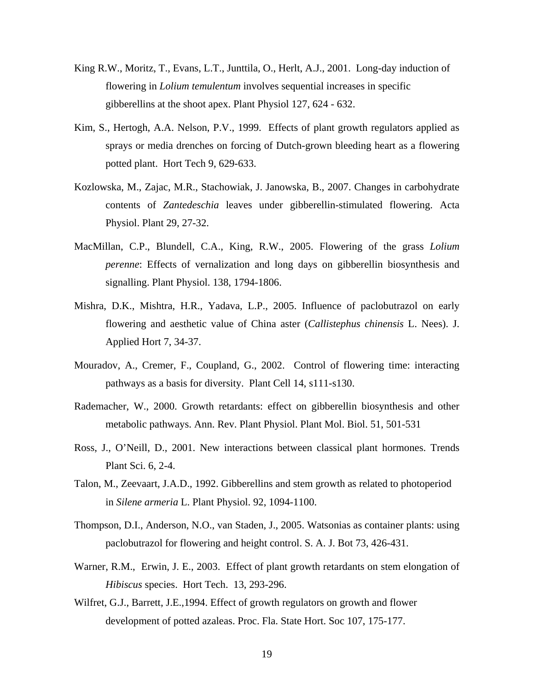- King R.W., Moritz, T., Evans, L.T., Junttila, O., Herlt, A.J., 2001. Long-day induction of flowering in *Lolium temulentum* involves sequential increases in specific gibberellins at the shoot apex. Plant Physiol 127, 624 - 632.
- Kim, S., Hertogh, A.A. Nelson, P.V., 1999. Effects of plant growth regulators applied as sprays or media drenches on forcing of Dutch-grown bleeding heart as a flowering potted plant. Hort Tech 9, 629-633.
- Kozlowska, M., Zajac, M.R., Stachowiak, J. Janowska, B., 2007. Changes in carbohydrate contents of *Zantedeschia* leaves under gibberellin-stimulated flowering. Acta Physiol. Plant 29, 27-32.
- MacMillan, C.P., Blundell, C.A., King, R.W., 2005. Flowering of the grass *Lolium perenne*: Effects of vernalization and long days on gibberellin biosynthesis and signalling. Plant Physiol. 138, 1794-1806.
- Mishra, D.K., Mishtra, H.R., Yadava, L.P., 2005. Influence of paclobutrazol on early flowering and aesthetic value of China aster (*Callistephus chinensis* L. Nees). J. Applied Hort 7, 34-37.
- Mouradov, A., Cremer, F., Coupland, G., 2002. Control of flowering time: interacting pathways as a basis for diversity. Plant Cell 14, s111-s130.
- Rademacher, W., 2000. Growth retardants: effect on gibberellin biosynthesis and other metabolic pathways. Ann. Rev. Plant Physiol. Plant Mol. Biol. 51, 501-531
- Ross, J., O'Neill, D., 2001. New interactions between classical plant hormones. Trends Plant Sci. 6, 2-4.
- Talon, M., Zeevaart, J.A.D., 1992. Gibberellins and stem growth as related to photoperiod in *Silene armeria* L. Plant Physiol. 92, 1094-1100.
- Thompson, D.I., Anderson, N.O., van Staden, J., 2005. Watsonias as container plants: using paclobutrazol for flowering and height control. S. A. J. Bot 73, 426-431.
- Warner, R.M., Erwin, J. E., 2003. Effect of plant growth retardants on stem elongation of *Hibiscus* species. Hort Tech. 13, 293-296.
- Wilfret, G.J., Barrett, J.E.,1994. Effect of growth regulators on growth and flower development of potted azaleas. Proc. Fla. State Hort. Soc 107, 175-177.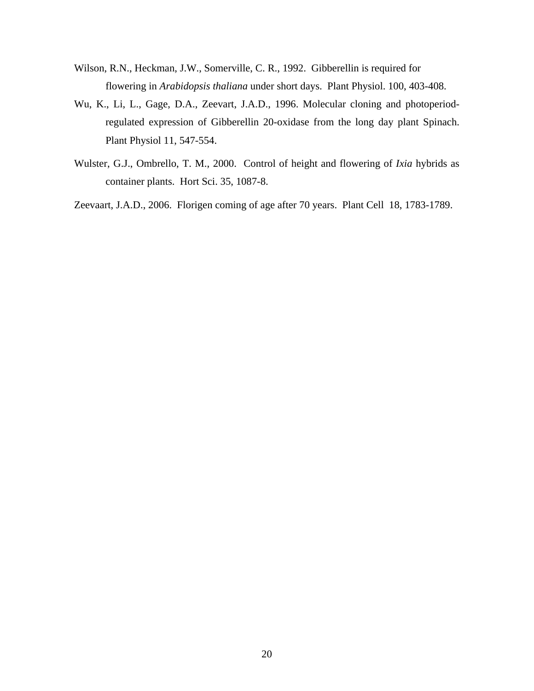- Wilson, R.N., Heckman, J.W., Somerville, C. R., 1992. Gibberellin is required for flowering in *Arabidopsis thaliana* under short days. Plant Physiol. 100, 403-408.
- Wu, K., Li, L., Gage, D.A., Zeevart, J.A.D., 1996. Molecular cloning and photoperiodregulated expression of Gibberellin 20-oxidase from the long day plant Spinach. Plant Physiol 11, 547-554.
- Wulster, G.J., Ombrello, T. M., 2000. Control of height and flowering of *Ixia* hybrids as container plants. Hort Sci. 35, 1087-8.
- Zeevaart, J.A.D., 2006. Florigen coming of age after 70 years. Plant Cell 18, 1783-1789.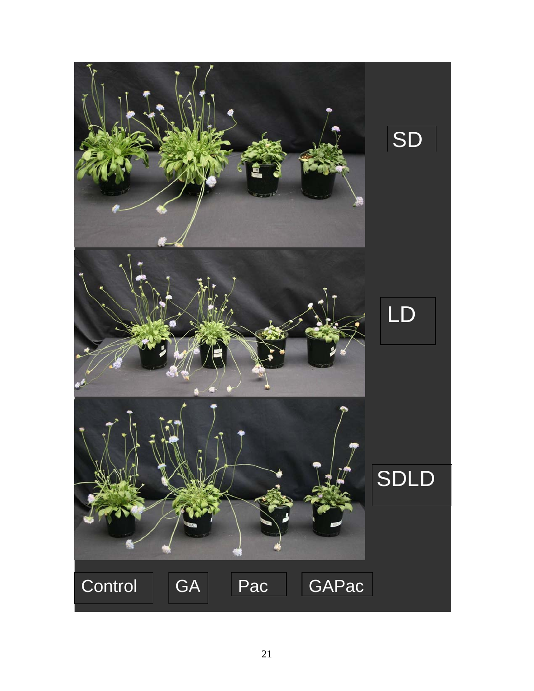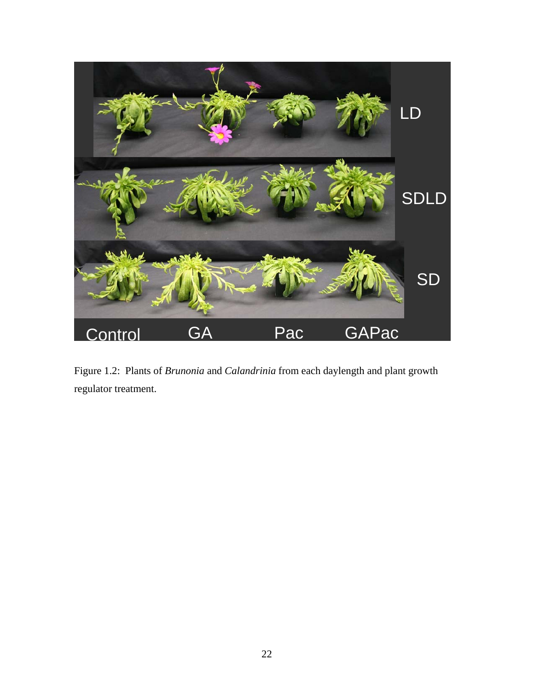

Figure 1.2: Plants of *Brunonia* and *Calandrinia* from each daylength and plant growth regulator treatment.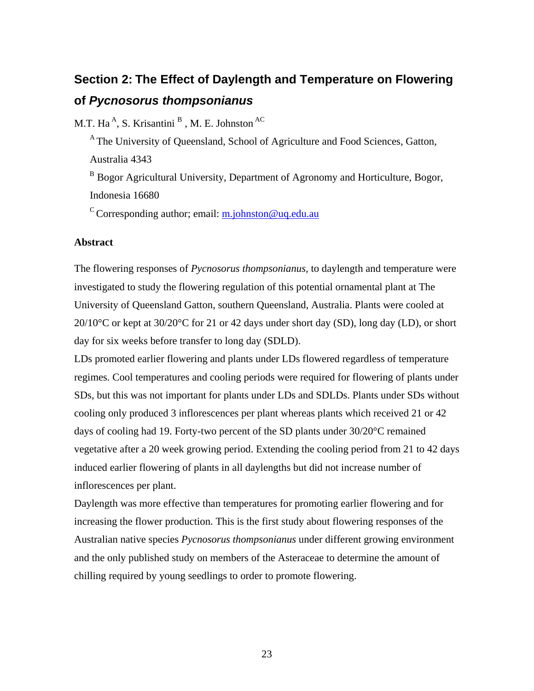## **Section 2: The Effect of Daylength and Temperature on Flowering of** *Pycnosorus thompsonianus*

M.T. Ha<sup>A</sup>, S. Krisantini<sup>B</sup>, M. E. Johnston<sup>AC</sup>

<sup>A</sup> The University of Queensland, School of Agriculture and Food Sciences, Gatton, Australia 4343

<sup>B</sup> Bogor Agricultural University, Department of Agronomy and Horticulture, Bogor, Indonesia 16680

<sup>C</sup> Corresponding author; email:  $\underline{m.johnston@uq.edu.au}$  $\underline{m.johnston@uq.edu.au}$  $\underline{m.johnston@uq.edu.au}$ 

### **Abstract**

The flowering responses of *Pycnosorus thompsonianus,* to daylength and temperature were investigated to study the flowering regulation of this potential ornamental plant at The University of Queensland Gatton, southern Queensland, Australia. Plants were cooled at  $20/10^{\circ}$ C or kept at  $30/20^{\circ}$ C for 21 or 42 days under short day (SD), long day (LD), or short day for six weeks before transfer to long day (SDLD).

LDs promoted earlier flowering and plants under LDs flowered regardless of temperature regimes. Cool temperatures and cooling periods were required for flowering of plants under SDs, but this was not important for plants under LDs and SDLDs. Plants under SDs without cooling only produced 3 inflorescences per plant whereas plants which received 21 or 42 days of cooling had 19. Forty-two percent of the SD plants under 30/20°C remained vegetative after a 20 week growing period. Extending the cooling period from 21 to 42 days induced earlier flowering of plants in all daylengths but did not increase number of inflorescences per plant.

Daylength was more effective than temperatures for promoting earlier flowering and for increasing the flower production. This is the first study about flowering responses of the Australian native species *Pycnosorus thompsonianus* under different growing environment and the only published study on members of the Asteraceae to determine the amount of chilling required by young seedlings to order to promote flowering.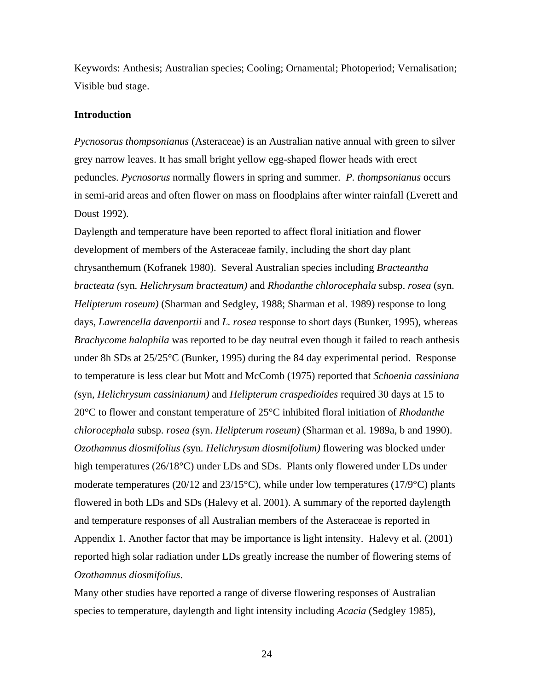Keywords: Anthesis; Australian species; Cooling; Ornamental; Photoperiod; Vernalisation; Visible bud stage.

### **Introduction**

*Pycnosorus thompsonianus* (Asteraceae) is an Australian native annual with green to silver grey narrow leaves. It has small bright yellow egg-shaped flower heads with erect peduncles. *Pycnosorus* normally flowers in spring and summer. *P. thompsonianus* occurs in semi-arid areas and often flower on mass on floodplains after winter rainfall (Everett and Doust 1992).

Daylength and temperature have been reported to affect floral initiation and flower development of members of the Asteraceae family, including the short day plant chrysanthemum (Kofranek 1980). Several Australian species including *Bracteantha bracteata (*syn*. Helichrysum bracteatum)* and *Rhodanthe chlorocephala* subsp. *rosea* (syn. *Helipterum roseum*) (Sharman and Sedgley, 1988; Sharman et al. 1989) response to long days, *Lawrencella davenportii* and *L. rosea* response to short days (Bunker, 1995), whereas *Brachycome halophila* was reported to be day neutral even though it failed to reach anthesis under 8h SDs at 25/25°C (Bunker, 1995) during the 84 day experimental period. Response to temperature is less clear but Mott and McComb (1975) reported that *Schoenia cassiniana (*syn*, Helichrysum cassinianum)* and *Helipterum craspedioides* required 30 days at 15 to 20°C to flower and constant temperature of 25°C inhibited floral initiation of *Rhodanthe chlorocephala* subsp. *rosea (*syn. *Helipterum roseum)* (Sharman et al. 1989a, b and 1990). *Ozothamnus diosmifolius (*syn*. Helichrysum diosmifolium)* flowering was blocked under high temperatures (26/18°C) under LDs and SDs. Plants only flowered under LDs under moderate temperatures (20/12 and 23/15°C), while under low temperatures (17/9°C) plants flowered in both LDs and SDs (Halevy et al. 2001). A summary of the reported daylength and temperature responses of all Australian members of the Asteraceae is reported in Appendix 1. Another factor that may be importance is light intensity. Halevy et al. (2001) reported high solar radiation under LDs greatly increase the number of flowering stems of *Ozothamnus diosmifolius*.

Many other studies have reported a range of diverse flowering responses of Australian species to temperature, daylength and light intensity including *Acacia* (Sedgley 1985),

24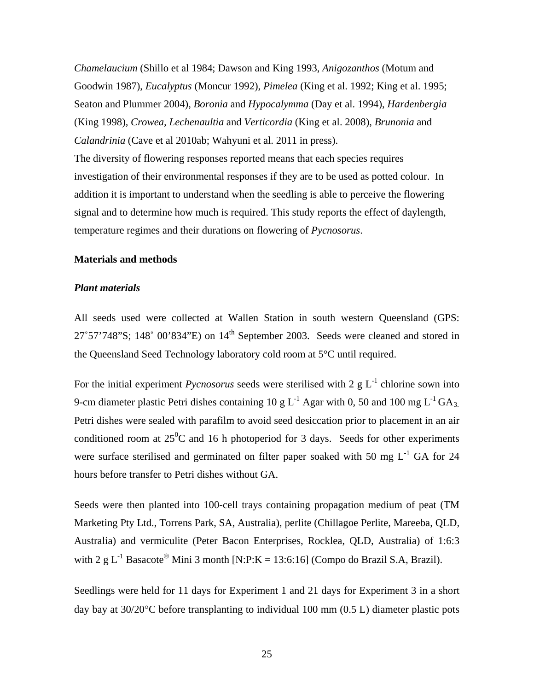*Chamelaucium* (Shillo et al 1984; Dawson and King 1993, *Anigozanthos* (Motum and Goodwin 1987), *Eucalyptus* (Moncur 1992), *Pimelea* (King et al. 1992; King et al. 1995; Seaton and Plummer 2004), *Boronia* and *Hypocalymma* (Day et al. 1994), *Hardenbergia* (King 1998), *Crowea, Lechenaultia* and *Verticordia* (King et al. 2008), *Brunonia* and *Calandrinia* (Cave et al 2010ab; Wahyuni et al. 2011 in press). The diversity of flowering responses reported means that each species requires investigation of their environmental responses if they are to be used as potted colour. In addition it is important to understand when the seedling is able to perceive the flowering signal and to determine how much is required. This study reports the effect of daylength, temperature regimes and their durations on flowering of *Pycnosorus*.

### **Materials and methods**

### *Plant materials*

All seeds used were collected at Wallen Station in south western Queensland (GPS:  $27^{\circ}57'748''S$ ;  $148^{\circ}$  00'834"E) on  $14^{\text{th}}$  September 2003. Seeds were cleaned and stored in the Queensland Seed Technology laboratory cold room at 5°C until required.

For the initial experiment *Pycnosorus* seeds were sterilised with 2  $g L<sup>-1</sup>$  chlorine sown into 9-cm diameter plastic Petri dishes containing 10 g  $L^{-1}$  Agar with 0, 50 and 100 mg  $L^{-1}GA_3$ . Petri dishes were sealed with parafilm to avoid seed desiccation prior to placement in an air conditioned room at  $25^{\circ}$ C and 16 h photoperiod for 3 days. Seeds for other experiments were surface sterilised and germinated on filter paper soaked with 50 mg  $L^{-1}$  GA for 24 hours before transfer to Petri dishes without GA.

Seeds were then planted into 100-cell trays containing propagation medium of peat (TM Marketing Pty Ltd., Torrens Park, SA, Australia), perlite (Chillagoe Perlite, Mareeba, QLD, Australia) and vermiculite (Peter Bacon Enterprises, Rocklea, QLD, Australia) of 1:6:3 with 2 g  $L^{-1}$  Basacote<sup>®</sup> Mini 3 month [N:P:K = 13:6:16] (Compo do Brazil S.A, Brazil).

Seedlings were held for 11 days for Experiment 1 and 21 days for Experiment 3 in a short day bay at  $30/20^{\circ}$ C before transplanting to individual 100 mm (0.5 L) diameter plastic pots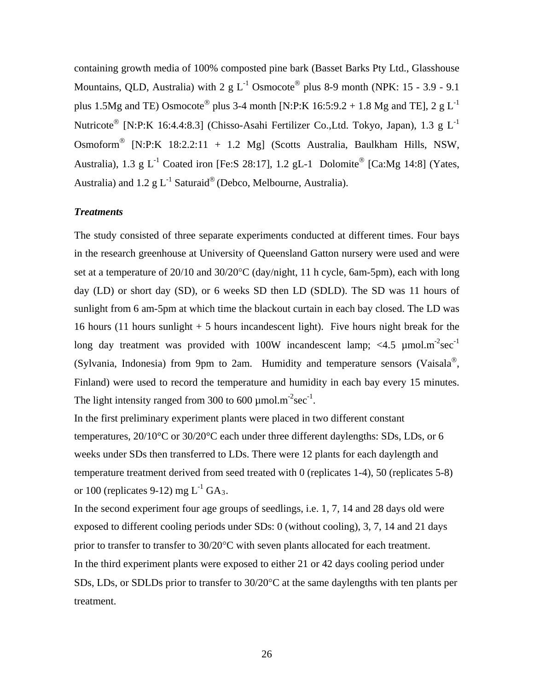containing growth media of 100% composted pine bark (Basset Barks Pty Ltd., Glasshouse Mountains, QLD, Australia) with 2 g  $L^{-1}$  Osmocote<sup>®</sup> plus 8-9 month (NPK: 15 - 3.9 - 9.1) plus 1.5Mg and TE) Osmocote<sup>®</sup> plus 3-4 month [N:P:K 16:5:9.2 + 1.8 Mg and TE], 2 g L<sup>-1</sup> Nutricote<sup>®</sup> [N:P:K 16:4.4:8.3] (Chisso-Asahi Fertilizer Co.,Ltd. Tokyo, Japan), 1.3 g L<sup>-1</sup> Osmoform<sup>®</sup> [N:P:K 18:2.2:11 + 1.2 Mg] (Scotts Australia, Baulkham Hills, NSW, Australia), 1.3 g  $L^{-1}$  Coated iron [Fe:S 28:17], 1.2 gL-1 Dolomite<sup>®</sup> [Ca:Mg 14:8] (Yates, Australia) and  $1.2 \text{ g L}^{-1}$  Saturaid<sup>®</sup> (Debco, Melbourne, Australia).

### *Treatments*

The study consisted of three separate experiments conducted at different times. Four bays in the research greenhouse at University of Queensland Gatton nursery were used and were set at a temperature of  $20/10$  and  $30/20$ °C (day/night, 11 h cycle, 6am-5pm), each with long day (LD) or short day (SD), or 6 weeks SD then LD (SDLD). The SD was 11 hours of sunlight from 6 am-5pm at which time the blackout curtain in each bay closed. The LD was 16 hours (11 hours sunlight + 5 hours incandescent light). Five hours night break for the long day treatment was provided with 100W incandescent lamp;  $\langle 4.5 \text{ }\mu\text{mol}.\text{m}^{-2}\text{sec}^{-1}$ (Sylvania, Indonesia) from 9pm to 2am. Humidity and temperature sensors (Vaisala®, Finland) were used to record the temperature and humidity in each bay every 15 minutes. The light intensity ranged from 300 to 600  $\mu$ mol.m<sup>-2</sup>sec<sup>-1</sup>.

In the first preliminary experiment plants were placed in two different constant temperatures, 20/10°C or 30/20°C each under three different daylengths: SDs, LDs, or 6 weeks under SDs then transferred to LDs. There were 12 plants for each daylength and temperature treatment derived from seed treated with 0 (replicates 1-4), 50 (replicates 5-8) or 100 (replicates 9-12) mg  $L^{-1} GA_3$ .

In the second experiment four age groups of seedlings, i.e. 1, 7, 14 and 28 days old were exposed to different cooling periods under SDs: 0 (without cooling), 3, 7, 14 and 21 days prior to transfer to transfer to  $30/20^{\circ}$ C with seven plants allocated for each treatment. In the third experiment plants were exposed to either 21 or 42 days cooling period under SDs, LDs, or SDLDs prior to transfer to  $30/20^{\circ}$ C at the same daylengths with ten plants per treatment.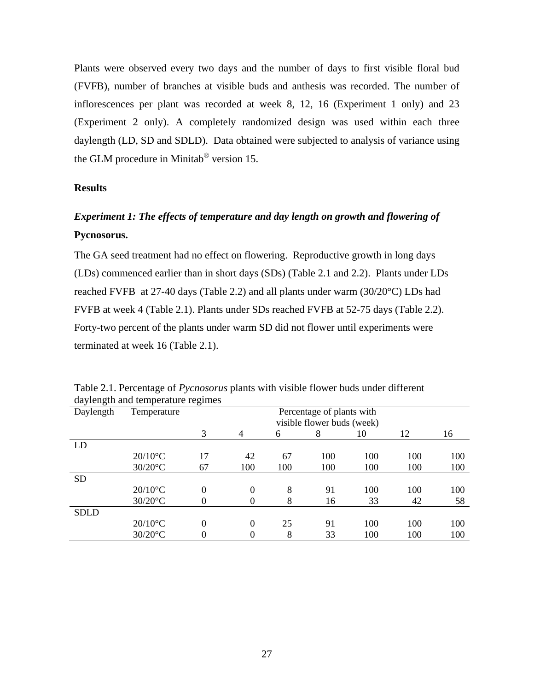Plants were observed every two days and the number of days to first visible floral bud (FVFB), number of branches at visible buds and anthesis was recorded. The number of inflorescences per plant was recorded at week 8, 12, 16 (Experiment 1 only) and 23 (Experiment 2 only). A completely randomized design was used within each three daylength (LD, SD and SDLD). Data obtained were subjected to analysis of variance using the GLM procedure in Minitab $\mathscr P$  version 15.

### **Results**

### *Experiment 1: The effects of temperature and day length on growth and flowering of* **Pycnosorus.**

The GA seed treatment had no effect on flowering. Reproductive growth in long days (LDs) commenced earlier than in short days (SDs) (Table 2.1 and 2.2). Plants under LDs reached FVFB at 27-40 days (Table 2.2) and all plants under warm (30/20°C) LDs had FVFB at week 4 (Table 2.1). Plants under SDs reached FVFB at 52-75 days (Table 2.2). Forty-two percent of the plants under warm SD did not flower until experiments were terminated at week 16 (Table 2.1).

|             | aayichgul aha temperature regimes |                |                  |     |                            |     |     |     |
|-------------|-----------------------------------|----------------|------------------|-----|----------------------------|-----|-----|-----|
| Daylength   | Temperature                       |                |                  |     | Percentage of plants with  |     |     |     |
|             |                                   |                |                  |     | visible flower buds (week) |     |     |     |
|             |                                   | 3              | $\overline{4}$   | 6   | 8                          | 10  | 12  | 16  |
| LD          |                                   |                |                  |     |                            |     |     |     |
|             | $20/10$ °C                        | 17             | 42               | 67  | 100                        | 100 | 100 | 100 |
|             | $30/20$ °C                        | 67             | 100              | 100 | 100                        | 100 | 100 | 100 |
| <b>SD</b>   |                                   |                |                  |     |                            |     |     |     |
|             | $20/10$ °C                        | $\Omega$       | $\boldsymbol{0}$ | 8   | 91                         | 100 | 100 | 100 |
|             | $30/20$ °C                        |                | 0                | 8   | 16                         | 33  | 42  | 58  |
| <b>SDLD</b> |                                   |                |                  |     |                            |     |     |     |
|             | $20/10$ °C                        | $\overline{0}$ | $\theta$         | 25  | 91                         | 100 | 100 | 100 |
|             | $30/20$ °C                        |                | 0                | 8   | 33                         | 100 | 100 | 100 |

Table 2.1. Percentage of *Pycnosorus* plants with visible flower buds under different daylength and temperature regimes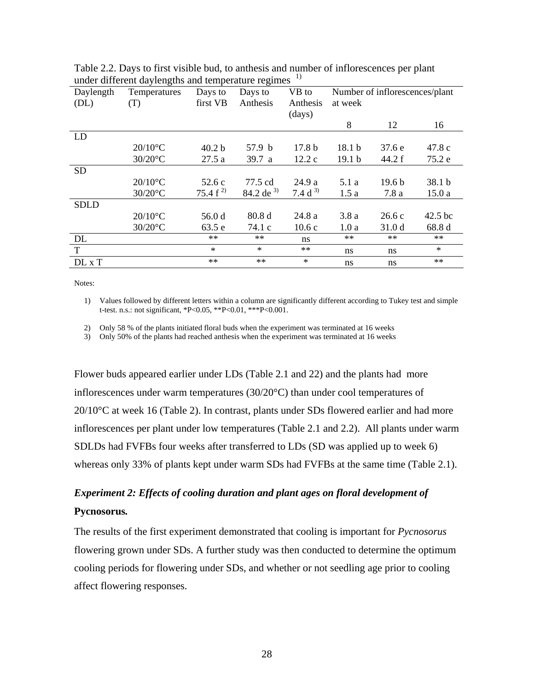| Daylength<br>(DL) | Temperatures<br>(T) | Days to<br>first VB | Days to<br>Anthesis | VB to<br>Anthesis<br>(days) | at week           | Number of inflorescences/plant |                   |
|-------------------|---------------------|---------------------|---------------------|-----------------------------|-------------------|--------------------------------|-------------------|
|                   |                     |                     |                     |                             | 8                 | 12                             | 16                |
| LD                |                     |                     |                     |                             |                   |                                |                   |
|                   | $20/10$ °C          | 40.2 <sub>b</sub>   | 57.9 b              | 17.8 <sub>b</sub>           | 18.1 <sub>b</sub> | 37.6 e                         | 47.8 c            |
|                   | $30/20$ °C          | 27.5a               | 39.7 a              | 12.2c                       | 19.1 <sub>b</sub> | 44.2 f                         | 75.2 e            |
| <b>SD</b>         |                     |                     |                     |                             |                   |                                |                   |
|                   | $20/10$ °C          | 52.6 c              | 77.5 cd             | 24.9 a                      | 5.1 a             | 19.6 <sub>b</sub>              | 38.1 <sub>b</sub> |
|                   | $30/20$ °C          | 75.4 $f^{2}$        | 84.2 de $3)$        | 7.4 $d^{3}$                 | 1.5a              | 7.8 a                          | 15.0a             |
| <b>SDLD</b>       |                     |                     |                     |                             |                   |                                |                   |
|                   | $20/10$ °C          | 56.0d               | 80.8 d              | 24.8 a                      | 3.8a              | 26.6c                          | $42.5$ bc         |
|                   | $30/20$ °C          | 63.5 e              | 74.1 c              | 10.6c                       | 1.0a              | 31.0 <sub>d</sub>              | 68.8 d            |
| DL                |                     | $**$                | $***$               | <sub>ns</sub>               | $**$              | $**$                           | $**$              |
| T                 |                     | $\ast$              | $\ast$              | $**$                        | ns                | ns                             | $\ast$            |
| DL x T            |                     | **                  | $***$               | $\ast$                      | ns                | ns                             | $**$              |

Table 2.2. Days to first visible bud, to anthesis and number of inflorescences per plant under different daylengths and temperature regimes  $1$ )

Notes:

1) Values followed by different letters within a column are significantly different according to Tukey test and simple t-test. n.s.: not significant, \*P<0.05, \*\*P<0.01, \*\*\*P<0.001.

2) Only 58 % of the plants initiated floral buds when the experiment was terminated at 16 weeks

3) Only 50% of the plants had reached anthesis when the experiment was terminated at 16 weeks

Flower buds appeared earlier under LDs (Table 2.1 and 22) and the plants had more inflorescences under warm temperatures (30/20°C) than under cool temperatures of 20/10°C at week 16 (Table 2). In contrast, plants under SDs flowered earlier and had more inflorescences per plant under low temperatures (Table 2.1 and 2.2). All plants under warm SDLDs had FVFBs four weeks after transferred to LDs (SD was applied up to week 6) whereas only 33% of plants kept under warm SDs had FVFBs at the same time (Table 2.1).

### *Experiment 2: Effects of cooling duration and plant ages on floral development of* **Pycnosorus***.*

The results of the first experiment demonstrated that cooling is important for *Pycnosorus* flowering grown under SDs. A further study was then conducted to determine the optimum cooling periods for flowering under SDs, and whether or not seedling age prior to cooling affect flowering responses.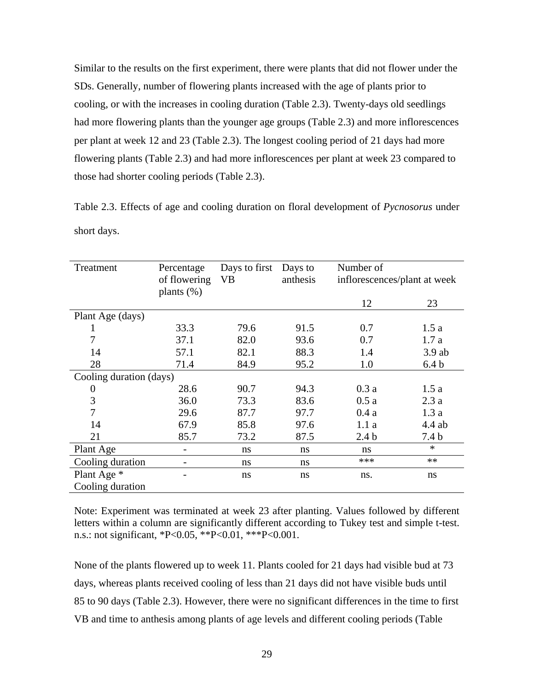Similar to the results on the first experiment, there were plants that did not flower under the SDs. Generally, number of flowering plants increased with the age of plants prior to cooling, or with the increases in cooling duration (Table 2.3). Twenty-days old seedlings had more flowering plants than the younger age groups (Table 2.3) and more inflorescences per plant at week 12 and 23 (Table 2.3). The longest cooling period of 21 days had more flowering plants (Table 2.3) and had more inflorescences per plant at week 23 compared to those had shorter cooling periods (Table 2.3).

Table 2.3. Effects of age and cooling duration on floral development of *Pycnosorus* under short days.

| Treatment               | Percentage<br>of flowering<br>plants $(\%)$ | Days to first<br>VB | Days to<br>anthesis | Number of<br>inflorescences/plant at week |                  |
|-------------------------|---------------------------------------------|---------------------|---------------------|-------------------------------------------|------------------|
|                         |                                             |                     |                     | 12                                        | 23               |
| Plant Age (days)        |                                             |                     |                     |                                           |                  |
| 1                       | 33.3                                        | 79.6                | 91.5                | 0.7                                       | 1.5a             |
| $\overline{7}$          | 37.1                                        | 82.0                | 93.6                | 0.7                                       | 1.7a             |
| 14                      | 57.1                                        | 82.1                | 88.3                | 1.4                                       | $3.9$ ab         |
| 28                      | 71.4                                        | 84.9                | 95.2                | 1.0                                       | 6.4 <sub>b</sub> |
| Cooling duration (days) |                                             |                     |                     |                                           |                  |
| $\boldsymbol{0}$        | 28.6                                        | 90.7                | 94.3                | 0.3a                                      | 1.5a             |
| 3                       | 36.0                                        | 73.3                | 83.6                | 0.5a                                      | 2.3a             |
| $\overline{7}$          | 29.6                                        | 87.7                | 97.7                | 0.4a                                      | 1.3a             |
| 14                      | 67.9                                        | 85.8                | 97.6                | 1.1a                                      | $4.4$ ab         |
| 21                      | 85.7                                        | 73.2                | 87.5                | 2.4 <sub>b</sub>                          | 7.4 <sub>b</sub> |
| Plant Age               |                                             | ns                  | ns                  | <sub>ns</sub>                             | $\ast$           |
| Cooling duration        |                                             | ns                  | ns                  | ***                                       | $**$             |
| Plant Age *             |                                             | ns                  | ns                  | ns.                                       | ns               |
| Cooling duration        |                                             |                     |                     |                                           |                  |

Note: Experiment was terminated at week 23 after planting. Values followed by different letters within a column are significantly different according to Tukey test and simple t-test. n.s.: not significant, \*P<0.05, \*\*P<0.01, \*\*\*P<0.001.

None of the plants flowered up to week 11. Plants cooled for 21 days had visible bud at 73 days, whereas plants received cooling of less than 21 days did not have visible buds until 85 to 90 days (Table 2.3). However, there were no significant differences in the time to first VB and time to anthesis among plants of age levels and different cooling periods (Table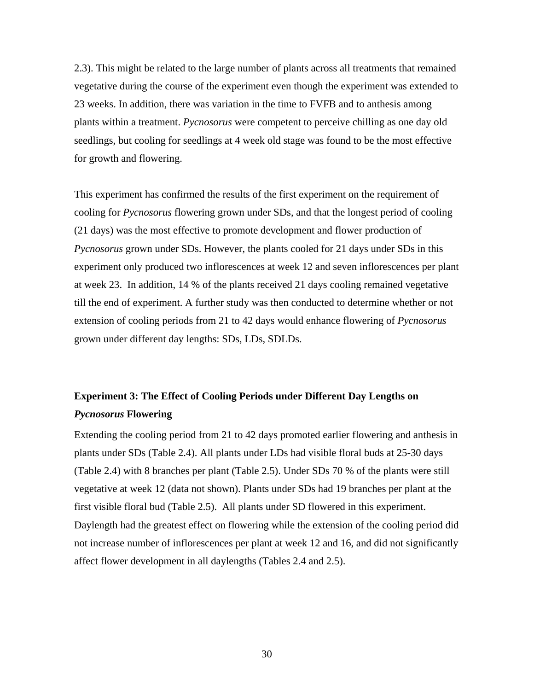2.3). This might be related to the large number of plants across all treatments that remained vegetative during the course of the experiment even though the experiment was extended to 23 weeks. In addition, there was variation in the time to FVFB and to anthesis among plants within a treatment. *Pycnosorus* were competent to perceive chilling as one day old seedlings, but cooling for seedlings at 4 week old stage was found to be the most effective for growth and flowering.

This experiment has confirmed the results of the first experiment on the requirement of cooling for *Pycnosorus* flowering grown under SDs, and that the longest period of cooling (21 days) was the most effective to promote development and flower production of *Pycnosorus* grown under SDs. However, the plants cooled for 21 days under SDs in this experiment only produced two inflorescences at week 12 and seven inflorescences per plant at week 23. In addition, 14 % of the plants received 21 days cooling remained vegetative till the end of experiment. A further study was then conducted to determine whether or not extension of cooling periods from 21 to 42 days would enhance flowering of *Pycnosorus* grown under different day lengths: SDs, LDs, SDLDs.

### **Experiment 3: The Effect of Cooling Periods under Different Day Lengths on**  *Pycnosorus* **Flowering**

Extending the cooling period from 21 to 42 days promoted earlier flowering and anthesis in plants under SDs (Table 2.4). All plants under LDs had visible floral buds at 25-30 days (Table 2.4) with 8 branches per plant (Table 2.5). Under SDs 70 % of the plants were still vegetative at week 12 (data not shown). Plants under SDs had 19 branches per plant at the first visible floral bud (Table 2.5). All plants under SD flowered in this experiment. Daylength had the greatest effect on flowering while the extension of the cooling period did not increase number of inflorescences per plant at week 12 and 16, and did not significantly affect flower development in all daylengths (Tables 2.4 and 2.5).

30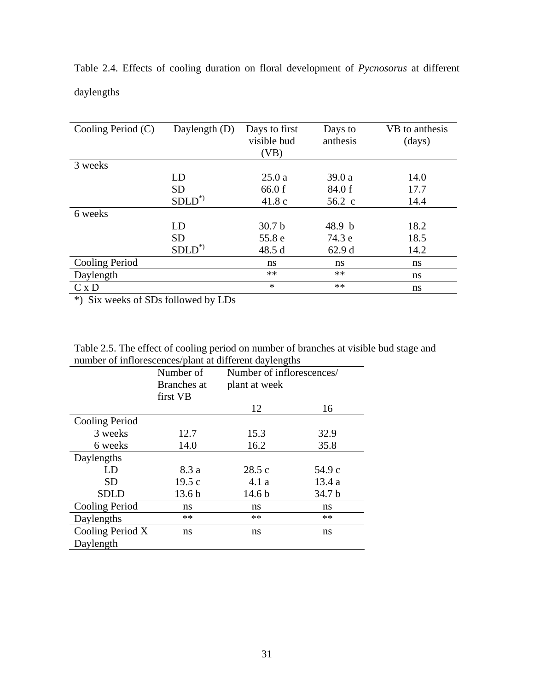| Cooling Period $(C)$  | Daylength (D) | Days to first<br>visible bud<br>(VB) | Days to<br>anthesis | VB to anthesis<br>(days) |
|-----------------------|---------------|--------------------------------------|---------------------|--------------------------|
| 3 weeks               |               |                                      |                     |                          |
|                       | LD            | 25.0a                                | 39.0a               | 14.0                     |
|                       | <b>SD</b>     | 66.0 f                               | 84.0 f              | 17.7                     |
|                       | $SDLD^*$      | 41.8c                                | $56.2\text{ c}$     | 14.4                     |
| 6 weeks               |               |                                      |                     |                          |
|                       | LD            | 30.7 <sub>b</sub>                    | 48.9 b              | 18.2                     |
|                       | <b>SD</b>     | 55.8 e                               | 74.3 e              | 18.5                     |
|                       | $SDLD^*$      | 48.5d                                | 62.9d               | 14.2                     |
| <b>Cooling Period</b> |               | ns                                   | ns                  | ns                       |
| Daylength             |               | **                                   | **                  | ns                       |
| $C \times D$          |               | $\ast$                               | $**$                | ns                       |

Table 2.4. Effects of cooling duration on floral development of *Pycnosorus* at different daylengths

\*) Six weeks of SDs followed by LDs

| Table 2.5. The effect of cooling period on number of branches at visible bud stage and |
|----------------------------------------------------------------------------------------|
| number of inflorescences/plant at different daylengths                                 |

|                       | Number of inflorescences/<br>Number of |                   |        |
|-----------------------|----------------------------------------|-------------------|--------|
|                       | Branches at                            | plant at week     |        |
|                       | first VB                               |                   |        |
|                       |                                        | 12                | 16     |
| <b>Cooling Period</b> |                                        |                   |        |
| 3 weeks               | 12.7                                   | 15.3              | 32.9   |
| 6 weeks               | 14.0                                   | 16.2              | 35.8   |
| Daylengths            |                                        |                   |        |
| LD                    | 8.3 a                                  | 28.5c             | 54.9 c |
| <b>SD</b>             | 19.5c                                  | 4.1a              | 13.4a  |
| <b>SDLD</b>           | 13.6 <sub>b</sub>                      | 14.6 <sub>b</sub> | 34.7 b |
| <b>Cooling Period</b> | ns                                     | ns                | ns     |
| Daylengths            | $**$                                   | **                | $**$   |
| Cooling Period X      | ns                                     | ns                | ns     |
| Daylength             |                                        |                   |        |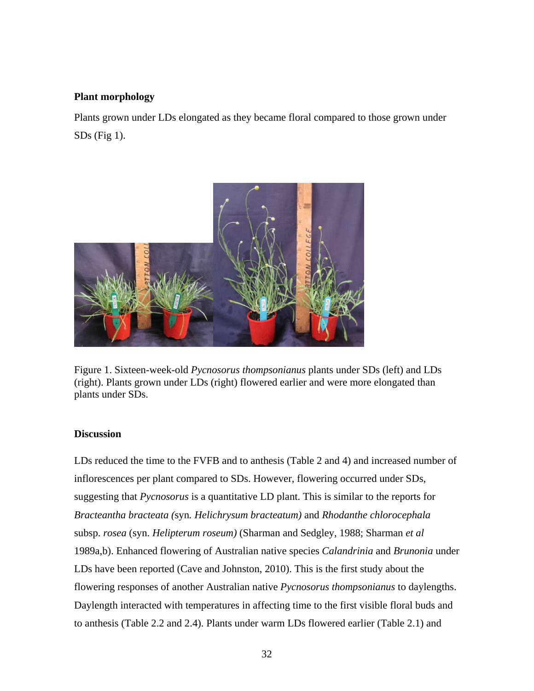### **Plant morphology**

Plants grown under LDs elongated as they became floral compared to those grown under  $SDs$  (Fig 1).



Figure 1. Sixteen-week-old *Pycnosorus thompsonianus* plants under SDs (left) and LDs (right). Plants grown under LDs (right) flowered earlier and were more elongated than plants under SDs.

### **Discussion**

LDs reduced the time to the FVFB and to anthesis (Table 2 and 4) and increased number of inflorescences per plant compared to SDs. However, flowering occurred under SDs, suggesting that *Pycnosorus* is a quantitative LD plant. This is similar to the reports for *Bracteantha bracteata (*syn*. Helichrysum bracteatum)* and *Rhodanthe chlorocephala*  subsp. *rosea* (syn. *Helipterum roseum)* (Sharman and Sedgley, 1988; Sharman *et al* 1989a,b). Enhanced flowering of Australian native species *Calandrinia* and *Brunonia* under LDs have been reported (Cave and Johnston, 2010). This is the first study about the flowering responses of another Australian native *Pycnosorus thompsonianus* to daylengths. Daylength interacted with temperatures in affecting time to the first visible floral buds and to anthesis (Table 2.2 and 2.4). Plants under warm LDs flowered earlier (Table 2.1) and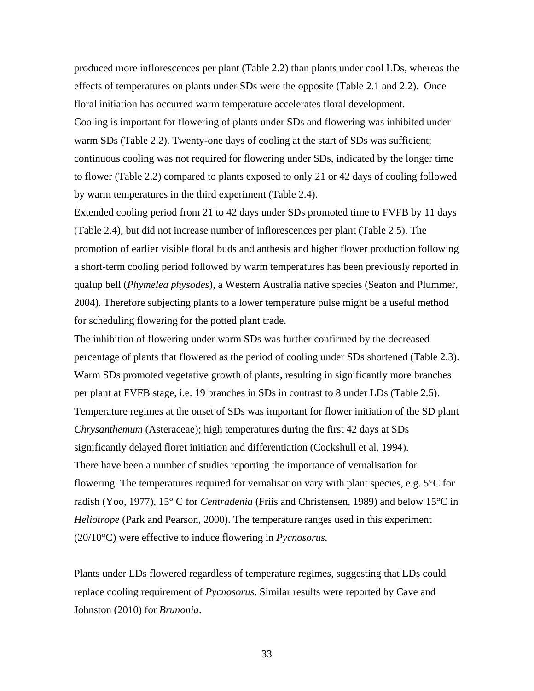produced more inflorescences per plant (Table 2.2) than plants under cool LDs, whereas the effects of temperatures on plants under SDs were the opposite (Table 2.1 and 2.2). Once floral initiation has occurred warm temperature accelerates floral development. Cooling is important for flowering of plants under SDs and flowering was inhibited under warm SDs (Table 2.2). Twenty-one days of cooling at the start of SDs was sufficient; to flower (Table 2.2) compared to plants exposed to only 21 or 42 days of cooling followed continuous cooling was not required for flowering under SDs, indicated by the longer time by warm temperatures in the third experiment (Table 2.4).

(Table 2.4), but did not increase number of inflorescences per plant (Table 2.5). The a short-term cooling period followed by warm temperatures has been previously reported in Extended cooling period from 21 to 42 days under SDs promoted time to FVFB by 11 days promotion of earlier visible floral buds and anthesis and higher flower production following qualup bell (*Phymelea physodes*), a Western Australia native species (Seaton and Plummer, 2004). Therefore subjecting plants to a lower temperature pulse might be a useful method for scheduling flowering for the potted plant trade.

percentage of plants that flowered as the period of cooling under SDs shortened (Table 2.3). Warm SDs promoted vegetative growth of plants, resulting in significantly more branches Temperature regimes at the onset of SDs was important for flower initiation of the SD plant There have been a number of studies reporting the importance of vernalisation for flowering. The temperatures required for vernalisation vary with plant species, e.g.  $5^{\circ}C$  for radish (Yoo, 1977), 15° C for *Centradenia* (Friis and Christensen, 1989) and below 15°C in The inhibition of flowering under warm SDs was further confirmed by the decreased per plant at FVFB stage, i.e. 19 branches in SDs in contrast to 8 under LDs (Table 2.5). *Chrysanthemum* (Asteraceae); high temperatures during the first 42 days at SDs significantly delayed floret initiation and differentiation (Cockshull et al, 1994). *Heliotrope* (Park and Pearson, 2000). The temperature ranges used in this experiment (20/10°C) were effective to induce flowering in *Pycnosorus.* 

Plants under LDs flowered regardless of temperature regimes, suggesting that LDs could replace cooling requirement of *Pycnosorus*. Similar results were reported by Cave and Johnston (2010) for *Brunonia*.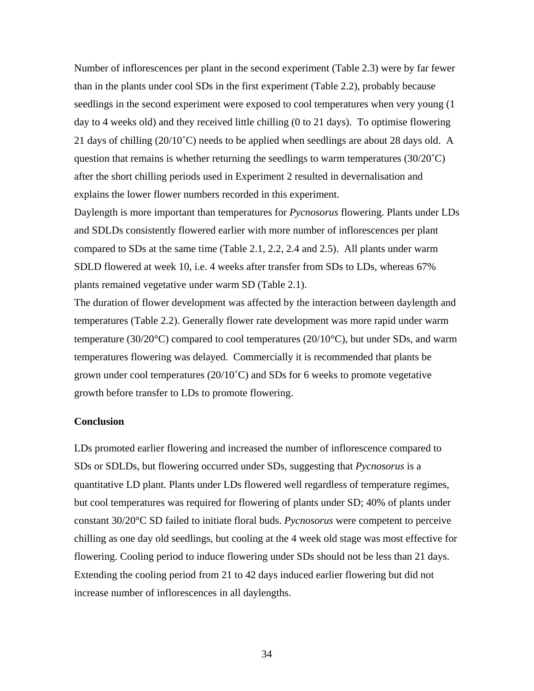Number of inflorescences per plant in the second experiment (Table 2.3) were by far fewe r than in the plants under cool SDs in the first experiment (Table 2.2), probably because seedlings in the second experiment were exposed to cool temperatures when very young (1 21 days of chilling  $(20/10^{\circ}C)$  needs to be applied when seedlings are about 28 days old. A day to 4 weeks old) and they received little chilling (0 to 21 days). To optimise flowering question that remains is whether returning the seedlings to warm temperatures  $(30/20^{\circ}C)$ after the short chilling periods used in Experiment 2 resulted in devernalisation and explains the lower flower numbers recorded in this experiment.

Daylength is more important than temperatures for *Pycnosorus* flowering. Plants under LDs and SDLDs consistently flowered earlier with more number of inflorescences per plant compared to SDs at the same time (Table 2.1, 2.2, 2.4 and 2.5). All plants under warm SDLD flowered at week 10, i.e. 4 weeks after transfer from SDs to LDs, whereas 67% plants remained vegetative under warm SD (Table 2.1).

The duration of flower development was affected by the interaction between daylength and temperature (30/20 $^{\circ}$ C) compared to cool temperatures (20/10 $^{\circ}$ C), but under SDs, and warm temperatures (Table 2.2). Generally flower rate development was more rapid under warm temperatures flowering was delayed. Commercially it is recommended that plants be grown under cool temperatures (20/10˚C) and SDs for 6 weeks to promote vegetative growth before transfer to LDs to promote flowering.

### **Conclusion**

LDs promoted earlier flowering and increased the number of inflorescence compared to SDs or SDLDs, but flowering occurred under SDs, suggesting that *Pycnosorus* is a quantitative LD plant. Plants under LDs flowered well regardless of temperature regimes, but cool temperatures was required for flowering of plants under SD; 40% of plants under constant 30/20°C SD failed to initiate floral buds. *Pycnosorus* were competent to perceive chilling as one day old seedlings, but cooling at the 4 week old stage was most effective for flowering. Cooling period to induce flowering under SDs should not be less than 21 days. Extending the cooling period from 21 to 42 days induced earlier flowering but did not increase number of inflorescences in all daylengths.

34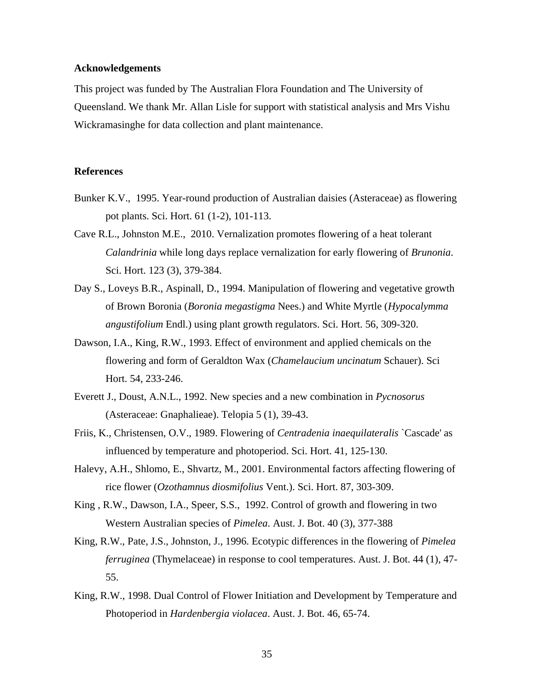### **Acknowledgements**

This project was funded by The Australian Flora Foundation and The University of Queensland. We thank Mr. Allan Lisle for support with statistical analysis and Mrs Vishu Wickramasinghe for data collection and plant maintenance.

### **References**

- Bunker K.V., 1995. Year-round production of Australian daisies (Asteraceae) as flowering pot plants. Sci. Hort. 61 (1-2), 101-113.
- Cave R.L., Johnston M.E., 2010. Vernalization promotes flowering of a heat tolerant *Calandrinia* while long days replace vernalization for early flowering of *Brunonia*. Sci. Hort. 123 (3), 379-384.
- Day S., Loveys B.R., Aspinall, D., 1994. Manipulation of flowering and vegetative growth of Brown Boronia (*Boronia megastigma* Nees.) and White Myrtle (*Hypocalymma angustifolium* Endl.) using plant growth regulators. Sci. Hort. 56, 309-320.
- Dawson, I.A., King, R.W., 1993. Effect of environment and applied chemicals on the flowering and form of Geraldton Wax (*Chamelaucium uncinatum* Schauer). Sci Hort. 54, 233-246.
- Everett J., Doust, A.N.L., 1992. New species and a new combination in *Pycnosorus* (Asteraceae: Gnaphalieae). Telopia 5 (1), 39-43.
- Friis, K ., Christensen, O.V., 1989. Flowering of *Centradenia inaequilateralis* `Cascade' as influenced by temperature and photoperiod. Sci. Hort. 41, 125-130.
- Halevy, A.H., Shlomo, E., Shvartz, M., 2001. Environmental factors affecting flowering of rice flower (*Ozothamnus diosmifolius* Vent.). Sci. Hort. 87, 303-309.
- King , R.W., Dawson, I.A., Speer, S.S., 1992. Control of growth and flowering in two Western Australian species of *Pimelea*. Aust. J. Bot. 40 (3), 377-388
- King, R.W., Pate, J.S., Johnston, J., 1996. Ecotypic differences in the flowering of *Pimelea ferruginea* (Thymelaceae) in response to cool temperatures. Aust. J. Bot. 44 (1), 47- 55.
- King, R.W., 1998. Dual Control of Flower Initiation and Development by Temperature and Photoperiod in *Hardenbergia violacea*. Aust. J. Bot. 46, 65-74.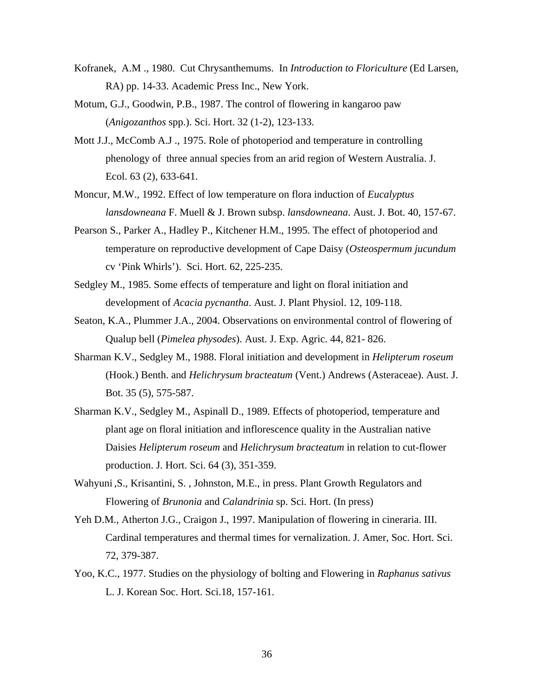- Kofranek, A.M ., 1980. Cut Chrysanthemums. In *Introduction to Floriculture* (Ed Larsen, RA) pp. 14-33. Academic Press Inc., New York.
- Motum, G.J., Goodwin, P.B., 1987. The control of flowering in kangaroo paw (*Anigozanthos* spp.). Sci. Hort. 32 (1-2), 123-133.
- Mott J.J., McComb A.J., 1975. Role of photoperiod and temperature in controlling phenology of three annual species from an arid region of Western Australia. J. Ecol. 63 (2), 633-641.
- Moncur, M.W., 1992. Effect of low temperature on flora induction of *Eucalyptus* lansdowneana F. Muell & J. Brown subsp. *lansdowneana*. Aust. J. Bot. 40, 157-67.
- Pearson S., Parker A., Hadley P., Kitchener H.M., 1995. The effect of photoperiod and temperature on reproductive development of Cape Daisy (Osteospermum jucundum cv 'Pink Whirls'). Sci. Hort. 62, 225-235.
- Sedgley M., 1985. Some effects of temperature and light on floral initiation and development of *Acacia pycnantha*. Aust. J. Plant Physiol. 12, 109-118.
- Seaton, K.A., Plummer J.A., 2004. Observations on environmental control of flowering of Qualup bell (*Pimelea physodes*). Aust. J. Exp. Agric. 44, 821- 826.
- Sharman K.V., Sedgley M., 1988. Floral initiation and development in *Helipterum roseum* (Hook.) Benth. and *Helichrysum bracteatum* (Vent.) Andrews (Asteraceae). Aust. J. Bot. 35 (5), 575-587.
- plant age on floral initiation and inflorescence quality in the Australian native Sharman K.V., Sedgley M., Aspinall D., 1989. Effects of photoperiod, temperature and Daisies *Helipterum roseum* and *Helichrysum bracteatum* in relation to cut-flower production. J. Hort. Sci. 64 (3), 351-359.
- Wahyuni , S., Krisantini, S., Johnston, M.E., in press. Plant Growth Regulators and Flowering of *Brunonia* and *Calandrinia* sp. Sci. Hort. (In press)
- Yeh D. M., Atherton J.G., Craigon J., 1997. Manipulation of flowering in cineraria. III. Cardinal temperatures and thermal times for vernalization. J. Amer, Soc. Hort. Sci. 72, 379-387.
- Yoo, K.C., 1977. Studies on the physiology of bolting and Flowering in *Raphanus sativus* L. J. Korean Soc. Hort. Sci.18, 157-161.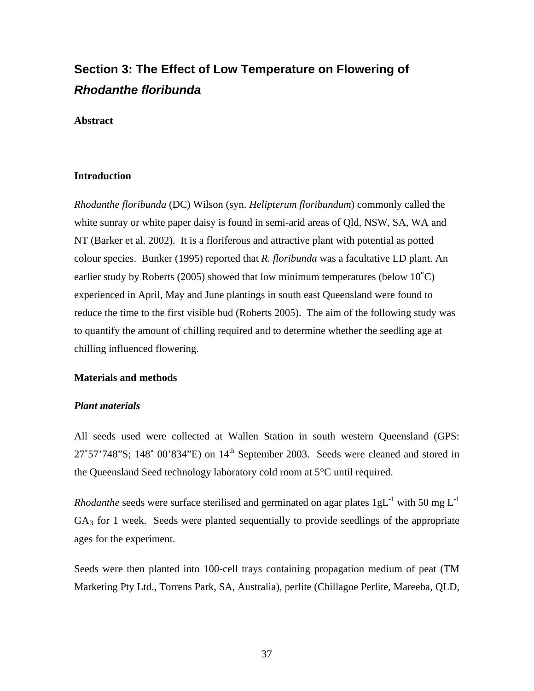## **Section 3: The Effect of Low Temperature on Flowering of**  *Rhodanthe floribunda*

### **Abstract**

### **Introduction**

*Rhodanthe floribunda* (DC) Wilson (syn. *Helipterum floribundum*) commonly called the white sunray or white paper daisy is found in semi-arid areas of Qld, NSW, SA, WA and NT (Barker et al. 2002). It is a floriferous and attractive plant with potential as potted colour species. Bunker (1995) reported that *R. floribunda* was a facultative LD plant. An earlier study by Roberts (2005) showed that low minimum temperatures (below 10˚C) experienced in April, May and June plantings in south east Queensland were found to reduce the time to the first visible bud (Roberts 2005). The aim of the following study was to quantify the amount of chilling required and to determine whether the seedling age at chilling influenced flowering.

### **Materials and methods**

### *Plant materials*

All seeds used were collected at Wallen Station in south western Queensland (GPS:  $27^{\circ}57'748''S$ ;  $148^{\circ}$  00'834"E) on  $14^{\text{th}}$  September 2003. Seeds were cleaned and stored in the Queensland Seed technology laboratory cold room at 5°C until required.

*Rhodanthe* seeds were surface sterilised and germinated on agar plates  $1gL^{-1}$  with 50 mg  $L^{-1}$  $GA<sub>3</sub>$  for 1 week. Seeds were planted sequentially to provide seedlings of the appropriate ages for the experiment.

Seeds were then planted into 100-cell trays containing propagation medium of peat (TM Marketing Pty Ltd., Torrens Park, SA, Australia), perlite (Chillagoe Perlite, Mareeba, QLD,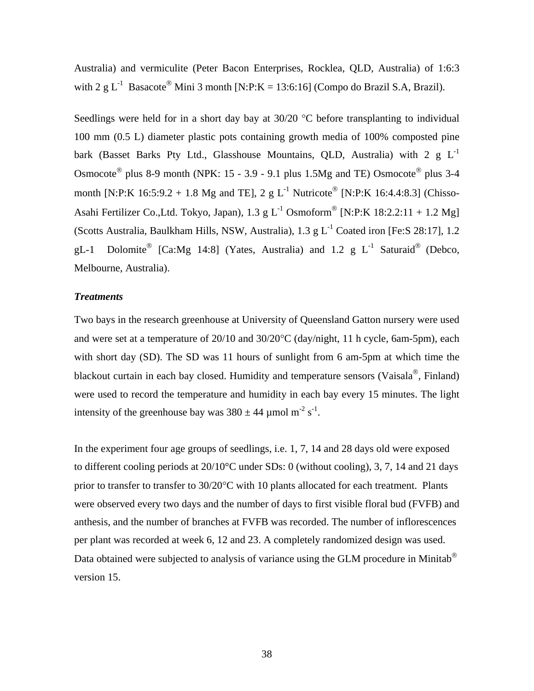Australia) and vermiculite (Peter Bacon Enterprises, Rocklea, QLD, Australia ) of 1:6:3 with 2 g  $L^{-1}$  Basacote<sup>®</sup> Mini 3 month [N:P:K = 13:6:16] (Compo do Brazil S.A, Brazil).

Seedlings were held for in a short day bay at  $30/20$  °C before transplanting to individual 100 mm (0.5 L) diameter plastic pots containing growth media of 100% composted pine bark (Basset Barks Pty Ltd., Glasshouse Mountains, QLD, Australia) with 2  $g L^{-1}$ Osmocote<sup>®</sup> plus 8-9 month (NPK: 15 - 3.9 - 9.1 plus 1.5Mg and TE) Osmocote<sup>®</sup> plus 3-4 month [N:P:K 16:5:9.2 + 1.8 Mg and TE], 2 g  $L^{-1}$  Nutricote<sup>®</sup> [N:P:K 16:4.4:8.3] (Chisso-Asahi Fertilizer Co., Ltd. Tokyo, Japan), 1.3 g  $L^{-1}$  Osmoform<sup>®</sup> [N:P:K 18:2.2:11 + 1.2 Mg] (Scotts Australia, Baulkham Hills, NSW, Australia), 1.3 g L-1 Coated iron [Fe:S 28:17], 1.2 gL-1 Dolomite<sup>®</sup> [Ca:Mg 14:8] (Yates, Australia) and 1.2 g L<sup>-1</sup> Saturaid<sup>®</sup> (Debco, Melbourne, Australia).

### *Treatments*

with short day  $(SD)$ . The SD was 11 hours of sunlight from 6 am-5pm at which time the blackout curtain in each bay closed. Humidity and temperature sensors (Vaisala®, Finland) were used to record the temperature and humidity in each bay every 15 minutes. The light intensity of the greenhouse bay was  $380 \pm 44$  µmol m<sup>-2</sup> s<sup>-1</sup>. Two bays in the research greenhouse at University of Queensland Gatton nursery were used and were set at a temperature of  $20/10$  and  $30/20^{\circ}$ C (day/night, 11 h cycle, 6am-5pm), each

to different cooling periods at  $20/10^{\circ}$ C under SDs: 0 (without cooling), 3, 7, 14 and 21 days prior to transfer to transfer to  $30/20^{\circ}$ C with 10 plants allocated for each treatment. Plants per plant was recorded at week 6, 12 and 23. A completely randomized design was used. Data obtained were subjected to analysis of variance using the GLM procedure in Minitab<sup>®</sup> In the experiment four age groups of seedlings, i.e. 1, 7, 14 and 28 days old were exposed were observed every two days and the number of days to first visible floral bud (FVFB) and anthesis, and the number of branches at FVFB was recorded. The number of inflorescences version 15.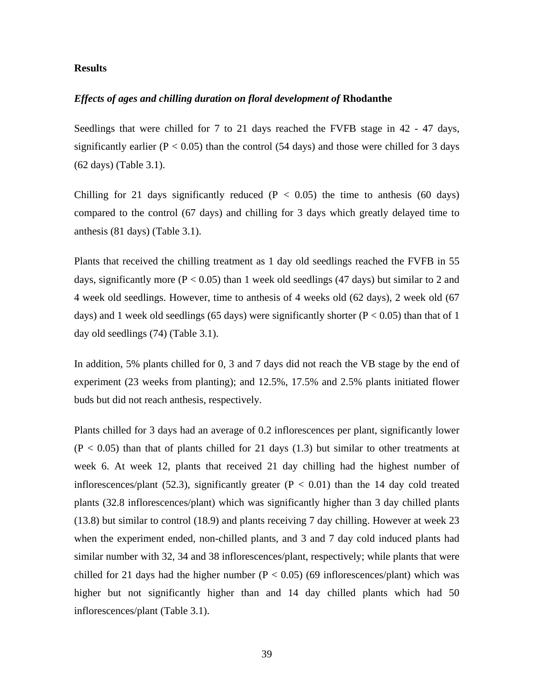### **Results**

### *Effects of ages and chilling duration on floral development of* **Rhodanthe**

Seedlings that were chilled for 7 to 21 days reached the FVFB stage in 42 - 47 days, significantly earlier ( $P < 0.05$ ) than the control (54 days) and those were chilled for 3 days (62 days) (Table 3.1).

Chilling for 21 days significantly reduced  $(P < 0.05)$  the time to anthesis (60 days) compared to the control (67 days) and chilling for 3 days which greatly delayed time to anthesis (81 days) (Table 3.1).

Plants that received the chilling treatment as 1 day old seedlings reached the FVFB in 55 days, significantly more ( $P < 0.05$ ) than 1 week old seedlings (47 days) but similar to 2 and 4 week old seedlings. However, time to anthesis of 4 weeks old (62 days), 2 week old (67 days) and 1 week old seedlings (65 days) were significantly shorter ( $P < 0.05$ ) than that of 1 day old seedlings (74) (Table 3.1).

In addition, 5% plants chilled for 0, 3 and 7 days did not reach the VB stage by the end of experiment (23 weeks from planting); and 12.5%, 17.5% and 2.5% plants initiated flower buds but did not reach anthesis, respectively.

Plants chilled for 3 days had an average of 0.2 inflorescences per plant, significantly lower  $(P < 0.05)$  than that of plants chilled for 21 days (1.3) but similar to other treatments at inflorescences/plant (52.3), significantly greater ( $P < 0.01$ ) than the 14 day cold treated when the experiment ended, non-chilled plants, and 3 and 7 day cold induced plants had chilled for 21 days had the higher number  $(P < 0.05)$  (69 inflorescences/plant) which was higher but not significantly higher than and 14 day chilled plants which had 50 inflorescences/plant (Table 3.1). week 6. At week 12, plants that received 21 day chilling had the highest number of plants (32.8 inflorescences/plant) which was significantly higher than 3 day chilled plants (13.8) but similar to control (18.9) and plants receiving 7 day chilling. However at week 23 similar number with 32, 34 and 38 inflorescences/plant, respectively; while plants that were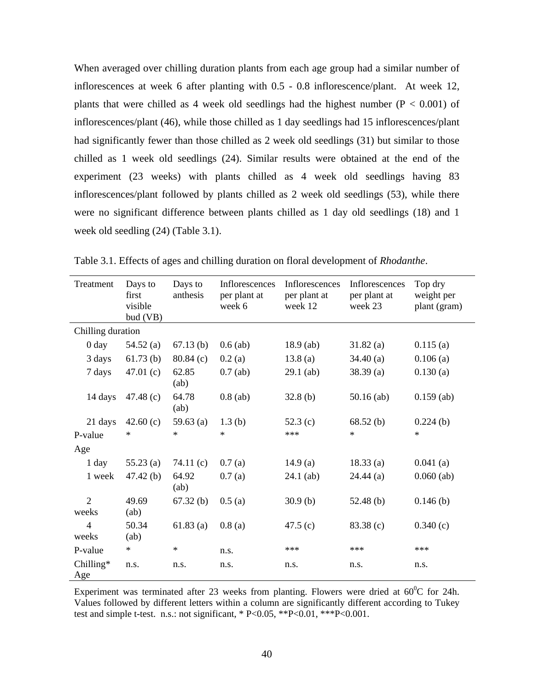When averaged over chilling duration plants from each age group had a similar number of inflorescences at week 6 after planting with 0.5 - 0.8 inflorescence/plant. At week 12, plants that were chilled as 4 week old seedlings had the highest number ( $P < 0.001$ ) of chilled as 1 week old seedlings (24). Similar results were obtained at the end of the experiment (23 weeks) with plants chilled as 4 week old seedlings having 83 week old seedling (24) (Table 3.1). inflorescences/plant (46), while those chilled as 1 day seedlings had 15 inflorescences/plant had significantly fewer than those chilled as 2 week old seedlings (31) but similar to those inflorescences/plant followed by plants chilled as 2 week old seedlings (53), while there were no significant difference between plants chilled as 1 day old seedlings (18) and 1

| Treatment               | Days to<br>first<br>visible<br>bud (VB) | Days to<br>anthesis | Inflorescences<br>per plant at<br>week 6 | <b>Inflorescences</b><br>per plant at<br>week 12 | Inflorescences<br>per plant at<br>week 23 | Top dry<br>weight per<br>plant (gram) |
|-------------------------|-----------------------------------------|---------------------|------------------------------------------|--------------------------------------------------|-------------------------------------------|---------------------------------------|
| Chilling duration       |                                         |                     |                                          |                                                  |                                           |                                       |
| $0 \, day$              | 54.52(a)                                | 67.13(b)            | $0.6$ (ab)                               | $18.9$ (ab)                                      | $31.82$ (a)                               | 0.115(a)                              |
| 3 days                  | 61.73(b)                                | 80.84(c)            | 0.2(a)                                   | 13.8(a)                                          | 34.40(a)                                  | 0.106(a)                              |
| 7 days                  | 47.01 $(c)$                             | 62.85<br>(ab)       | $0.7$ (ab)                               | $29.1$ (ab)                                      | 38.39(a)                                  | 0.130(a)                              |
| 14 days                 | 47.48 $(c)$                             | 64.78<br>(ab)       | $0.8$ (ab)                               | 32.8(b)                                          | $50.16$ (ab)                              | $0.159$ (ab)                          |
| 21 days                 | 42.60 $(c)$                             | 59.63 $(a)$         | 1.3(b)                                   | 52.3 $(c)$                                       | 68.52(b)                                  | 0.224(b)                              |
| P-value                 | $\ast$                                  | $\ast$              | $\ast$                                   | ***                                              | $\ast$                                    | $\ast$                                |
| Age                     |                                         |                     |                                          |                                                  |                                           |                                       |
| 1 day                   | $55.23$ (a)                             | 74.11 $(c)$         | 0.7(a)                                   | 14.9(a)                                          | 18.33(a)                                  | $0.041$ (a)                           |
| 1 week                  | 47.42(b)                                | 64.92<br>(ab)       | 0.7(a)                                   | $24.1$ (ab)                                      | $24.44$ (a)                               | $0.060$ (ab)                          |
| $\overline{2}$<br>weeks | 49.69<br>(ab)                           | 67.32(b)            | 0.5(a)                                   | 30.9(b)                                          | 52.48 $(b)$                               | 0.146(b)                              |
| $\overline{4}$<br>weeks | 50.34<br>(ab)                           | $61.83$ (a)         | 0.8(a)                                   | 47.5 $(c)$                                       | 83.38 (c)                                 | 0.340(c)                              |
| P-value                 | $\ast$                                  | $\ast$              | n.s.                                     | $***$                                            | $***$                                     | $***$                                 |
| Chilling*<br>Age        | n.s.                                    | n.s.                | n.s.                                     | n.s.                                             | n.s.                                      | n.s.                                  |

Table 3.1. Effects of ages and chilling duration on floral development of *Rhodanthe*.

Experiment was terminated after 23 weeks from planting. Flowers were dried at  $60^{\circ}$ C for 24h. Values followed by different letters wit hin a column are significantly different according to Tukey test and simple t-test. n.s.: not signifi cant, \* P<0.05, \*\*P<0.01, \*\*\*P<0.001.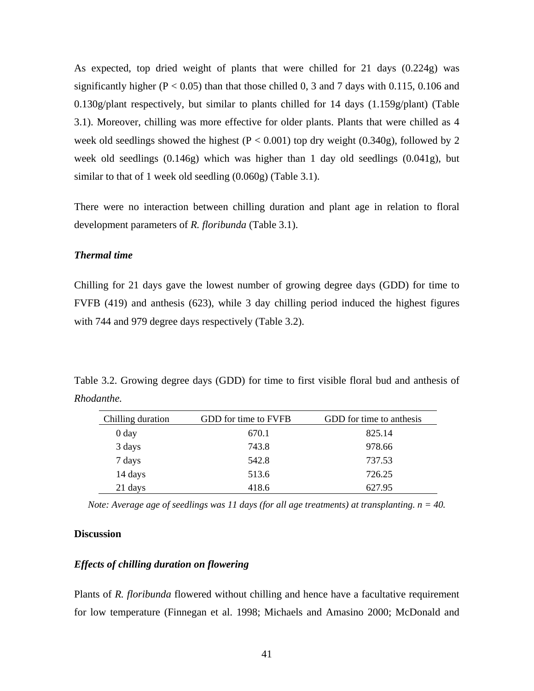As expected, top dried weight of plants that were chilled for 21 days  $(0.224g)$  was significantly higher ( $P < 0.05$ ) than that those chilled 0, 3 and 7 days with 0.115, 0.106 and 0.130g/plant respectively, but similar to plants chilled for 14 days (1.159g/plant) (Table 3.1). Moreover, chilling was more effective for older plants. Plants that were chilled as 4 week old seedlings showed the highest  $(P < 0.001)$  top dry weight  $(0.340g)$ , followed by 2 week old seedlings (0.146g) which was higher than 1 day old seedlings (0.041g), but similar to that of 1 week old seedling  $(0.060g)$  (Table 3.1).

There were no interaction between chilling duration and plant age in relation to floral development parameters of *R. floribunda* (Table 3.1).

### *Thermal time*

Chilling for 21 days gave the lowest number of growing degree days (GDD) for time to FVFB  $(419)$  and anthesis  $(623)$ , while 3 day chilling period induced the highest figures with 744 and 979 degree days respectively (Table 3.2).

Table 3.2. Growing degree days (GDD) for time to first visible floral bud and anthesis of *Rhodanthe.*

| Chilling duration | GDD for time to FVFB | GDD for time to anthesis |
|-------------------|----------------------|--------------------------|
| 0 day             | 670.1                | 825.14                   |
| 3 days            | 743.8                | 978.66                   |
| 7 days            | 542.8                | 737.53                   |
| 14 days           | 513.6                | 726.25                   |
| 21 days           | 418.6                | 627.95                   |

*Note: Average age of seedlings was 11 days (for all age treatments) at transplanting.*  $n = 40$ *.* 

### **Discussion**

### *<i>Effects of chilling duration on flowering*

for low temperature (Finnegan et al. 1998; Michaels and Amasino 2000; McDonald and Plants of *R. floribunda* flowered without chilling and hence have a facultative requirement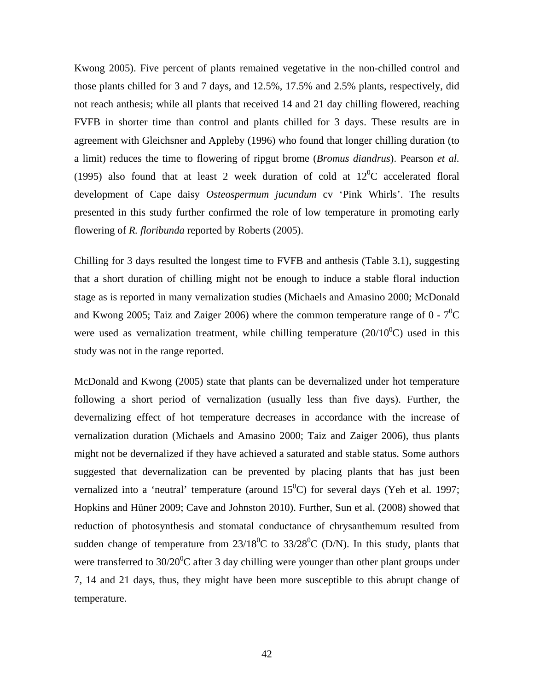Kwong 2005). Five percent of plants remained vegetative in the non-chilled control and those plants chilled for 3 and 7 days, and 12.5%, 17.5% and 2.5% plants, respectively, did not reach anthesis; while all plants that received 14 and 21 day chilling flowered, reaching FVFB in shorter time than control and plants chilled for 3 days. These results are in agreement with Gleichsner and Appleby (1996) who found that longer chilling duration (to a limit) reduces the time to flowering of ripgut brome (*Bromus diandrus*). Pearson *et al.*  (1995) also found that at least 2 week duration of cold at  $12^{\circ}$ C accelerated floral development of Cape daisy *Osteospermum jucundum* cv 'Pink Whirls'. The results presented in this study further confirmed the role of low temperature in promoting early flowering of *R. floribunda* reported by Roberts (2005).

Chilling for 3 days resulted the longest time to FVFB and anthesis (Table 3.1), suggesting and Kwong 2005; Taiz and Zaiger 2006) where the common temperature range of  $0$  -  $7^0C$ were used as vernalization treatment, while chilling temperature  $(20/10^{0}C)$  used in this study was not in the range reported. that a short duration of chilling might not be enough to induce a stable floral induction stage as is reported in many vernalization studies (Michaels and Amasino 2000; McDonald

following a short period of vernalization (usually less than five days). Further, the devernalizing effect of hot temperature decreases in accordance with the increase of vernalization duration (Michaels and Amasino 2000; Taiz and Zaiger 2006), thus plants might not be devernalized if they have achieved a saturated and stable status. Some authors suggested that devernalization can be prevented by placing plants that has just been vernalized into a 'neutral' temperature (around  $15^{\circ}$ C) for several days (Yeh et al. 1997; Hopkins and Hüner 2009; Cave and Johnston 2010). Further, Sun et al. (2008) showed that reduction of photosynthesis and stomatal conductance of chrysanthemum resulted from sudden change of temperature from  $23/18^0C$  to  $33/28^0C$  (D/N). In this study, plants that were transferred to  $30/20^0$ C after 3 day chilling were younger than other plant groups under 7, 14 and 21 days, thus, they might have been more susceptible to this abrupt change of McDonald and Kwong (2005) state that plants can be devernalized under hot temperature temperature.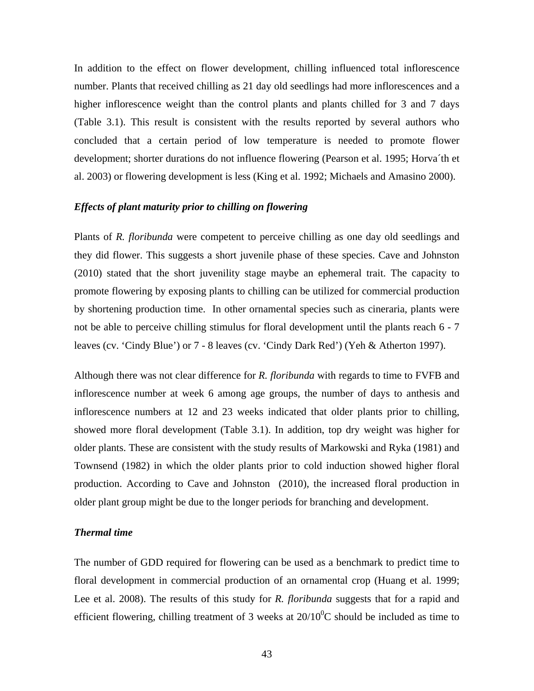In addition to the effect on flower development, chilling influenced total inflorescence number. Plants that received chilling as 21 day old seedlings had more inflorescences and a higher inflorescence weight than the control plants and plants chilled for 3 and 7 days (Table 3.1). This result is consistent with the results reported by several authors who concluded that a certain period of low temperature is needed to promote flower development; shorter durations do not influence flowering (Pearson et al. 1995; Horva´th et al. 2003) or flowering development is less (King et al. 1992; Michaels and Amasino 2000).

### *Effects of plant maturity prior to chilling on flowering*

Plants of *R. floribunda* were competent to perceive chilling as one day old seedlings and leaves (cv. 'Cindy Blue') or 7 - 8 leaves (cv. 'Cindy Dark Red') (Yeh & Atherton 1997). they did flower. This suggests a short juvenile phase of these species. Cave and Johnston (2010) stated that the short juvenility stage maybe an ephemeral trait. The capacity to promote flowering by exposing plants to chilling can be utilized for commercial production by shortening production time. In other ornamental species such as cineraria*,* plants were not be able to perceive chilling stimulus for floral development until the plants reach 6 - 7

Although there was not clear difference for *R. floribunda* with regards to time to FVFB and inflorescence number at week 6 among age groups, the number of days to anthesis and inflorescence numbers at 12 and 23 weeks indicated that older plants prior to chilling, showed more floral development (Table 3.1). In addition, top dry weight was higher for older plants. These are consistent with the study results of Markowski and Ryka (1981) and Townsend (1982) in which the older plants prior to cold induction showed higher floral production. According to Cave and Johnston (2010), the increased floral production in older plant group might be due to the longer periods for branching and development.

### *Thermal time*

Lee et al. 2008). The results of this study for *R. floribunda* suggests that for a rapid and efficient flowering, chilling treatment of 3 weeks at  $20/10^0$ C should be included as time to The number of GDD required for flowering can be used as a benchmark to predict time to floral development in commercial production of an ornamental crop (Huang et al. 1999;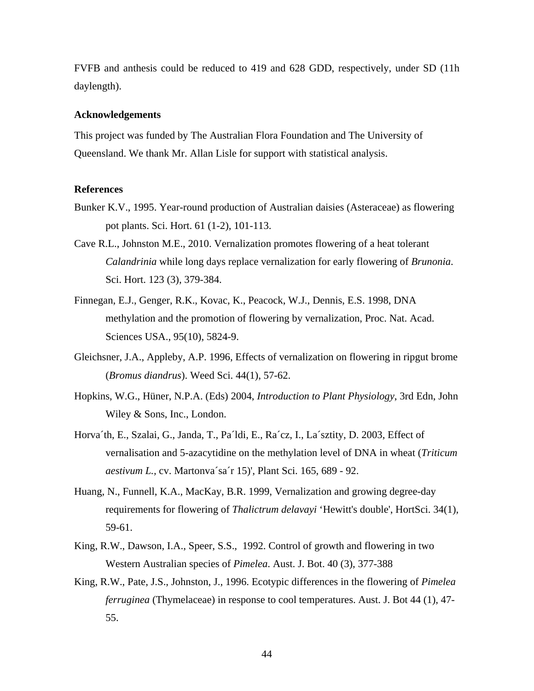FVFB and anthesis could be reduced to 419 and 628 GDD, respectively, under SD (11h daylength).

### **Acknowledgements**

This project was funded by The Australian Flora Foundation and The University of Queensland. We thank Mr. Allan Lisle for support with statistical analysis.

### **References**

- Bunker K.V., 1995. Year-round production of Australian daisies (Asteraceae) as flowering pot plants. Sci. Hort. 61 (1-2), 101-113.
- Cave R.L., Johnston M.E., 2010. Vernalization promotes flowering of a heat tolerant *Calandrinia* while long days replace vernalization for early flowering of *Brunonia*. Sci. Hort. 123 (3), 379-384.
- Finnegan, E.J., Genger, R.K., Kovac, K., Peacock, W.J., Dennis, E.S. 1998, DNA methylation and the promotion of flowering by vernalization, Proc. Nat. Acad. Sciences USA., 95(10), 5824-9.
- Gleichsner, J.A., Appleby, A.P. 1996, Effects of vernalization on flowering in ripgut brome (*Bromus diandrus*). Weed Sci. 44(1), 57-62.
- Hopkins, W.G., Hüner, N.P.A. (Eds) 2004, *Introduction to Plant Physiology*, 3rd Edn, John Wiley & Sons, Inc., London.
- Horva´th, E., Szalai, G., Janda, T., Pa´ldi, E., Ra´cz, I., La´sztity, D. 2003, Effect of vernalisation and 5-azacytidine on the methylation level of DNA in wheat (*Triticum aestivum L.,* cv. Martonva´sa´r 15)', Plant Sci. 165, 689 - 92.
- requirements for flowering of *Thalictrum delavayi* 'Hewitt's double', HortSci. 34(1), Huang, N., Funnell, K.A., MacKay, B.R. 1999, Vernalization and growing degree-day 59-61.
- King, R.W., Dawson, I.A., Speer, S.S., 1992. Control of growth and flowering in two Western Australian species of *Pimelea*. Aust. J. Bot. 40 (3), 377-388
- King, R.W., Pate, J.S., Johnston, J., 1996. Ecotypic differences in the flowering of *Pimelea ferruginea* (Thymelaceae) in response to cool temperatures. Aust. J. Bot 44 (1), 47- 55.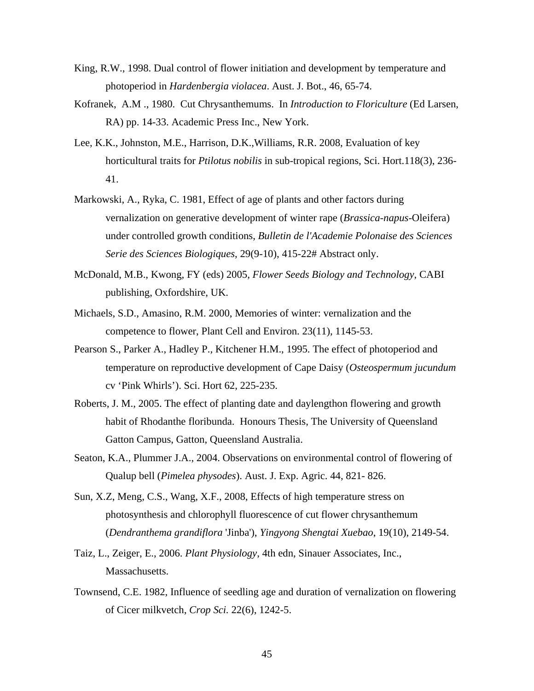- King, R.W., 1998. Dual control of flower initiation and development by temperature and photoperiod in *Hardenbergia violacea*. Aust. J. Bot., 46, 65-74.
- Kofranek, A.M ., 1980. Cut Chrysanthemums. In *Introduction to Floriculture* (Ed Larsen, RA) pp. 14-33. Academic Press Inc., New York.
- 41. Lee, K.K., Johnston, M.E., Harrison, D.K.,Williams, R.R. 2008, Evaluation of key horticultural traits for *Ptilotus nobilis* in sub-tropical regions, Sci. Hort.118(3), 236-
- vernalization on generative development of winter rape (*Brassica-napus*-Oleifera) Markowski, A., Ryka, C. 1981, Effect of age of plants and other factors during under controlled growth conditions, *Bulletin de l'Academie Polonaise des Sciences Serie des Sciences Biologiques*, 29(9-10), 415-22# Abstract only.
- McDonald, M.B., Kwong, FY (eds) 2005, *Flower Seeds Biology and Technology*, CABI publishing, Oxfordshire, UK.
- Michae ls, S.D., Amasino, R.M. 2000, Memories of winter: vernalization and the competence to flower, Plant Cell and Environ. 23(11), 1145-53.
- temperature on reproductive development of Cape Daisy (Osteospermum jucundum cv 'Pink Whirls'). Sci. Hort 62, 225-235. Pearson S., Parker A., Hadley P., Kitchener H.M., 1995. The effect of photoperiod and
- habit of Rhodanthe floribunda. Honours Thesis, The University of Queensland Roberts, J. M., 2005. The effect of planting date and daylengthon flowering and growth Gatton Campus, Gatton, Queensland Australia.
- Seaton, K.A., Plummer J.A., 2004. Observations on environmental control of flowering of Qualup bell (Pimelea physodes). Aust. J. Exp. Agric. 44, 821-826.
- *nthema grandiflora* 'Jinba'), *Yingyong Shengtai Xuebao*, 19(10), 2149-54. (*Dendra* Sun, X.Z, Meng, C.S., Wang, X.F., 2008, Effects of high temperature stress on photosynthesis and chlorophyll fluorescence of cut flower chrysanthemum
- Taiz, L., Zeiger, E., 2006. *Plant Physiology*, 4th edn, Sinauer Associates, Inc., Massachusetts.
- Townsend, C.E. 1982, Influence of seedling age and duration of vernalization on flowering of Cicer milkvetch, *Crop Sci.* 22(6), 1242-5.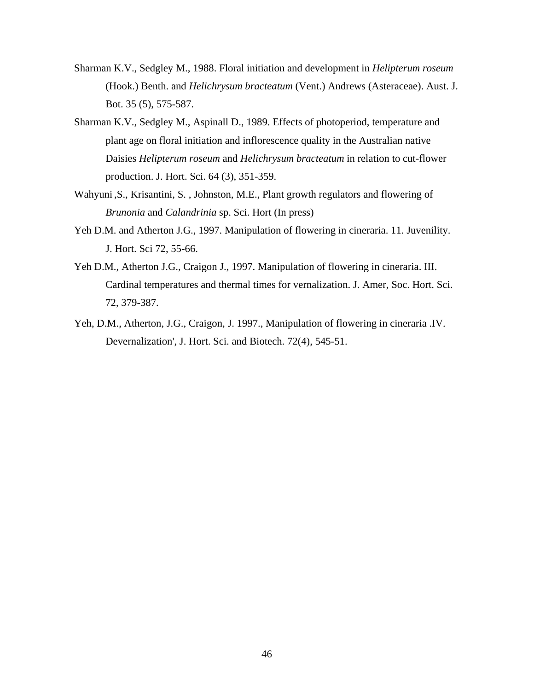- (Hook.) Benth. and *Helichrysum bracteatum* (Vent.) Andrews (Asteraceae). Aust. J. Sharman K.V., Sedgley M., 1988. Floral initiation and development in *Helipterum roseum* Bot. 35 (5), 575-587.
- Sharman K.V., Sedgley M., Aspinall D., 1989. Effects of photoperiod, temperature and plant age on floral initiation and inflorescence quality in the Australian native production. J. Hort. Sci. 64 (3), 351-359. Daisies *Helipterum roseum* and *Helichrysum bracteatum* in relation to cut-flower
- Wahyuni ,S., Krisantini, S., Johnston, M.E., Plant growth regulators and flowering of *Brunonia* and *Calandrinia* sp. Sci. Hort (In press)
- Yeh D. M. and Atherton J.G., 1997. Manipulation of flowering in cineraria. 11. Juvenility. J. Hort. Sci 72, 55-66.
- Cardinal temperatures and thermal times for vernalization. J. Amer, Soc. Hort. Sci. 72, 379-387. Yeh D.M., Atherton J.G., Craigon J., 1997. Manipulation of flowering in cineraria. III.
- Yeh, D.M., Atherton, J.G., Craigon, J. 1997., Manipulation of flowering in cineraria .IV. Devernalization', J. Hort. Sci. and Biotech. 72(4), 545-51.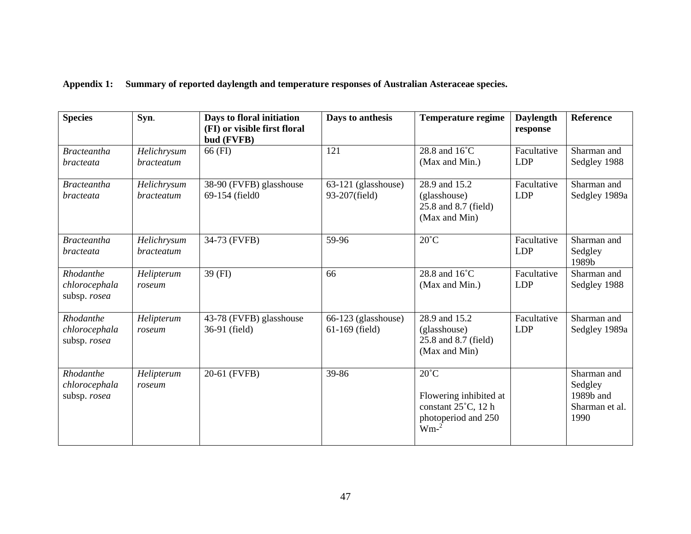### **Appendix 1:** Summary of reported daylength and temperature responses of Australian Asteraceae species.

| <b>Species</b>                             | Syn.                             | Days to floral initiation<br>(FI) or visible first floral<br>bud (FVFB) | Days to anthesis                        | <b>Temperature regime</b>                                                                       | <b>Daylength</b><br>response | <b>Reference</b>                                              |
|--------------------------------------------|----------------------------------|-------------------------------------------------------------------------|-----------------------------------------|-------------------------------------------------------------------------------------------------|------------------------------|---------------------------------------------------------------|
| <b>Bracteantha</b><br><i>bracteata</i>     | Helichrysum<br><b>bracteatum</b> | 66 (FI)                                                                 | 121                                     | 28.8 and 16°C<br>(Max and Min.)                                                                 | Facultative<br><b>LDP</b>    | Sharman and<br>Sedgley 1988                                   |
| <b>Bracteantha</b><br>bracteata            | Helichrysum<br><i>bracteatum</i> | 38-90 (FVFB) glasshouse<br>69-154 (field0                               | 63-121 (glasshouse)<br>93-207(field)    | 28.9 and 15.2<br>(glasshouse)<br>25.8 and 8.7 (field)<br>(Max and Min)                          | Facultative<br><b>LDP</b>    | Sharman and<br>Sedgley 1989a                                  |
| <b>Bracteantha</b><br><i>bracteata</i>     | Helichrysum<br><b>bracteatum</b> | 34-73 (FVFB)                                                            | 59-96                                   | $20^{\circ}$ C                                                                                  | Facultative<br><b>LDP</b>    | Sharman and<br>Sedgley<br>1989b                               |
| Rhodanthe<br>chlorocephala<br>subsp. rosea | Helipterum<br>roseum             | 39 (FI)                                                                 | 66                                      | 28.8 and 16°C<br>(Max and Min.)                                                                 | Facultative<br><b>LDP</b>    | Sharman and<br>Sedgley 1988                                   |
| Rhodanthe<br>chlorocephala<br>subsp. rosea | Helipterum<br>roseum             | 43-78 (FVFB) glasshouse<br>36-91 (field)                                | 66-123 (glasshouse)<br>$61-169$ (field) | 28.9 and 15.2<br>(glasshouse)<br>25.8 and 8.7 (field)<br>(Max and Min)                          | Facultative<br><b>LDP</b>    | Sharman and<br>Sedgley 1989a                                  |
| Rhodanthe<br>chlorocephala<br>subsp. rosea | Helipterum<br>roseum             | 20-61 (FVFB)                                                            | 39-86                                   | $20^{\circ}$ C<br>Flowering inhibited at<br>constant 25°C, 12 h<br>photoperiod and 250<br>$Wm-$ |                              | Sharman and<br>Sedgley<br>1989b and<br>Sharman et al.<br>1990 |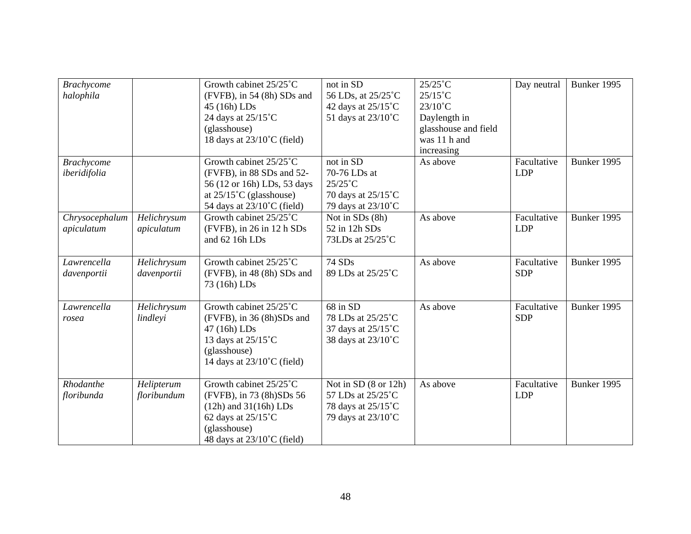| <b>Brachycome</b><br>halophila<br><b>Brachycome</b> |                            | Growth cabinet 25/25°C<br>(FVFB), in 54 (8h) SDs and<br>45 (16h) LDs<br>24 days at $25/15^{\circ}$ C<br>(glasshouse)<br>18 days at $23/10^{\circ}$ C (field)<br>Growth cabinet $25/25^{\circ}$ C | not in SD<br>56 LDs, at 25/25°C<br>42 days at 25/15°C<br>51 days at 23/10°C<br>not in SD | $25/25$ °C<br>$25/15^{\circ}$ C<br>$23/10^{\circ}$ C<br>Daylength in<br>glasshouse and field<br>was 11 h and<br>increasing<br>As above | Day neutral<br>Facultative | Bunker 1995<br>Bunker 1995 |
|-----------------------------------------------------|----------------------------|--------------------------------------------------------------------------------------------------------------------------------------------------------------------------------------------------|------------------------------------------------------------------------------------------|----------------------------------------------------------------------------------------------------------------------------------------|----------------------------|----------------------------|
| iberidifolia                                        |                            | (FVFB), in 88 SDs and 52-<br>56 (12 or 16h) LDs, 53 days<br>at $25/15^{\circ}$ C (glasshouse)<br>54 days at $23/10^{\circ}$ C (field)                                                            | 70-76 LDs at<br>$25/25^{\circ}$ C<br>70 days at 25/15°C<br>79 days at 23/10°C            |                                                                                                                                        | <b>LDP</b>                 |                            |
| Chrysocephalum<br>apiculatum                        | Helichrysum<br>apiculatum  | Growth cabinet $25/25^{\circ}$ C<br>(FVFB), in 26 in 12 h SDs<br>and 62 16h LDs                                                                                                                  | Not in SDs (8h)<br>52 in 12h SDs<br>73LDs at 25/25°C                                     | As above                                                                                                                               | Facultative<br><b>LDP</b>  | Bunker 1995                |
| Lawrencella<br>davenportii                          | Helichrysum<br>davenportii | Growth cabinet 25/25°C<br>(FVFB), in 48 (8h) SDs and<br>73 (16h) LDs                                                                                                                             | 74 SDs<br>89 LDs at 25/25°C                                                              | As above                                                                                                                               | Facultative<br><b>SDP</b>  | Bunker 1995                |
| Lawrencella<br>rosea                                | Helichrysum<br>lindleyi    | Growth cabinet 25/25°C<br>(FVFB), in 36 (8h)SDs and<br>47 (16h) LDs<br>13 days at 25/15°C<br>(glasshouse)<br>14 days at $23/10^{\circ}$ C (field)                                                | 68 in SD<br>78 LDs at 25/25°C<br>37 days at 25/15°C<br>38 days at 23/10°C                | As above                                                                                                                               | Facultative<br><b>SDP</b>  | Bunker 1995                |
| Rhodanthe<br>floribunda                             | Helipterum<br>floribundum  | Growth cabinet 25/25°C<br>(FVFB), in 73 (8h)SDs 56<br>$(12h)$ and $31(16h)$ LDs<br>62 days at $25/15^{\circ}$ C<br>(glasshouse)<br>48 days at $23/10^{\circ}$ C (field)                          | Not in SD (8 or 12h)<br>57 LDs at 25/25°C<br>78 days at 25/15°C<br>79 days at 23/10°C    | As above                                                                                                                               | Facultative<br><b>LDP</b>  | Bunker 1995                |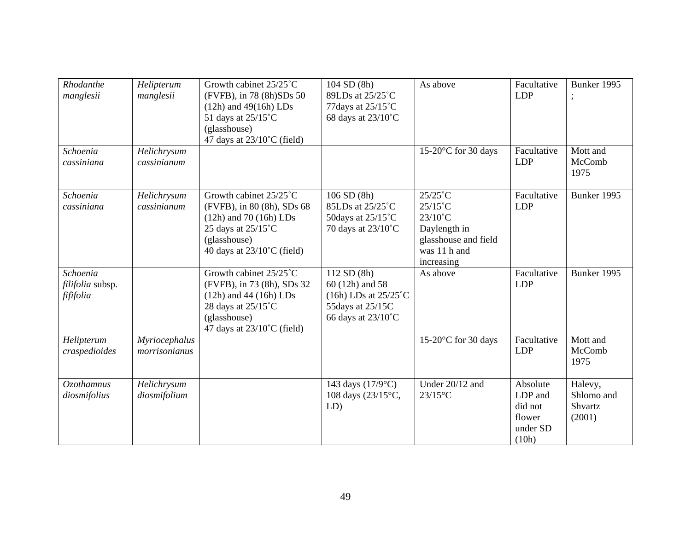| Rhodanthe<br>manglesii                    | Helipterum<br>manglesii        | Growth cabinet 25/25°C<br>(FVFB), in 78 (8h)SDs 50<br>$(12h)$ and $49(16h)$ LDs<br>51 days at 25/15°C<br>(glasshouse)<br>47 days at $23/10^{\circ}$ C (field)    | 104 SD (8h)<br>89LDs at 25/25°C<br>77 days at 25/15°C<br>68 days at $23/10^{\circ}$ C                           | As above                                                                                                                   | Facultative<br><b>LDP</b>                                     | Bunker 1995                                |
|-------------------------------------------|--------------------------------|------------------------------------------------------------------------------------------------------------------------------------------------------------------|-----------------------------------------------------------------------------------------------------------------|----------------------------------------------------------------------------------------------------------------------------|---------------------------------------------------------------|--------------------------------------------|
| Schoenia<br>cassiniana                    | Helichrysum<br>cassinianum     |                                                                                                                                                                  |                                                                                                                 | 15-20°C for 30 days                                                                                                        | Facultative<br><b>LDP</b>                                     | Mott and<br>McComb<br>1975                 |
| Schoenia<br>cassiniana                    | Helichrysum<br>cassinianum     | Growth cabinet 25/25°C<br>(FVFB), in 80 (8h), SDs 68<br>$(12h)$ and 70 $(16h)$ LDs<br>25 days at 25/15°C<br>(glasshouse)<br>40 days at $23/10^{\circ}$ C (field) | 106 SD (8h)<br>85LDs at 25/25°C<br>50days at $25/15^{\circ}$ C<br>70 days at 23/10°C                            | $25/25$ °C<br>$25/15^{\circ}$ C<br>$23/10^{\circ}$ C<br>Daylength in<br>glasshouse and field<br>was 11 h and<br>increasing | Facultative<br><b>LDP</b>                                     | Bunker 1995                                |
| Schoenia<br>filifolia subsp.<br>fififolia |                                | Growth cabinet 25/25°C<br>(FVFB), in 73 (8h), SDs 32<br>$(12h)$ and 44 $(16h)$ LDs<br>28 days at 25/15°C<br>(glasshouse)<br>47 days at $23/10^{\circ}$ C (field) | 112 SD (8h)<br>60 (12h) and 58<br>$(16h)$ LDs at $25/25$ °C<br>55days at 25/15C<br>66 days at $23/10^{\circ}$ C | As above                                                                                                                   | Facultative<br><b>LDP</b>                                     | Bunker 1995                                |
| Helipterum<br>craspedioides               | Myriocephalus<br>morrisonianus |                                                                                                                                                                  |                                                                                                                 | 15-20°C for 30 days                                                                                                        | Facultative<br><b>LDP</b>                                     | Mott and<br>McComb<br>1975                 |
| <b>Ozothamnus</b><br>diosmifolius         | Helichrysum<br>diosmifolium    |                                                                                                                                                                  | 143 days $(17/9^{\circ}C)$<br>108 days (23/15°C,<br>LD)                                                         | Under 20/12 and<br>$23/15$ °C                                                                                              | Absolute<br>LDP and<br>did not<br>flower<br>under SD<br>(10h) | Halevy,<br>Shlomo and<br>Shvartz<br>(2001) |